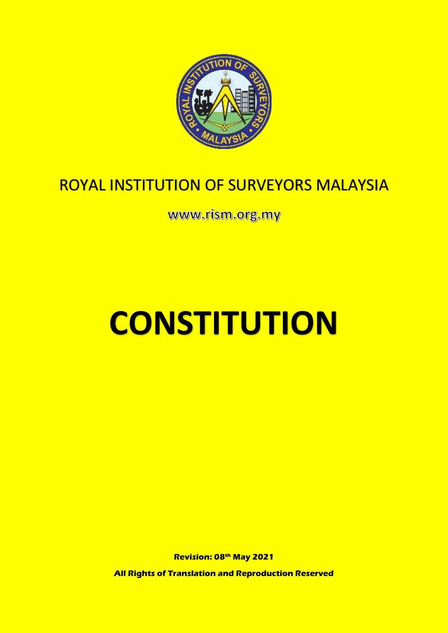

## ROYAL INSTITUTION OF SURVEYORS MALAYSIA

www.rism.org.my

# **CONSTITUTION**

**Revision: 08th May 2021**

**All Rights of Translation and Reproduction Reserved**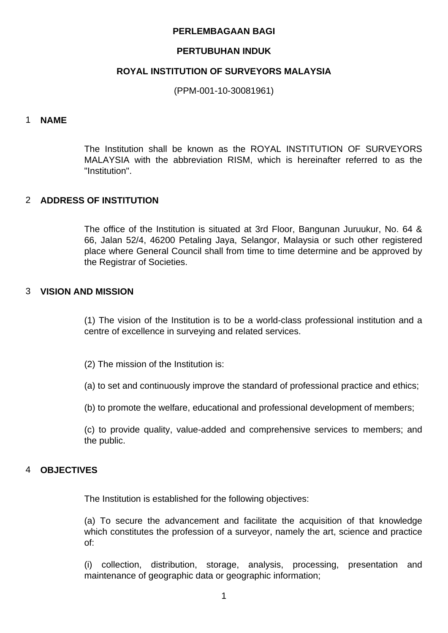#### **PERLEMBAGAAN BAGI**

#### **PERTUBUHAN INDUK**

#### **ROYAL INSTITUTION OF SURVEYORS MALAYSIA**

(PPM-001-10-30081961)

#### 1 **NAME**

The Institution shall be known as the ROYAL INSTITUTION OF SURVEYORS MALAYSIA with the abbreviation RISM, which is hereinafter referred to as the "Institution".

#### 2 **ADDRESS OF INSTITUTION**

The office of the Institution is situated at 3rd Floor, Bangunan Juruukur, No. 64 & 66, Jalan 52/4, 46200 Petaling Jaya, Selangor, Malaysia or such other registered place where General Council shall from time to time determine and be approved by the Registrar of Societies.

#### 3 **VISION AND MISSION**

(1) The vision of the Institution is to be a world-class professional institution and a centre of excellence in surveying and related services.

- (2) The mission of the Institution is:
- (a) to set and continuously improve the standard of professional practice and ethics;
- (b) to promote the welfare, educational and professional development of members;

(c) to provide quality, value-added and comprehensive services to members; and the public.

#### 4 **OBJECTIVES**

The Institution is established for the following objectives:

(a) To secure the advancement and facilitate the acquisition of that knowledge which constitutes the profession of a surveyor, namely the art, science and practice of:

(i) collection, distribution, storage, analysis, processing, presentation and maintenance of geographic data or geographic information;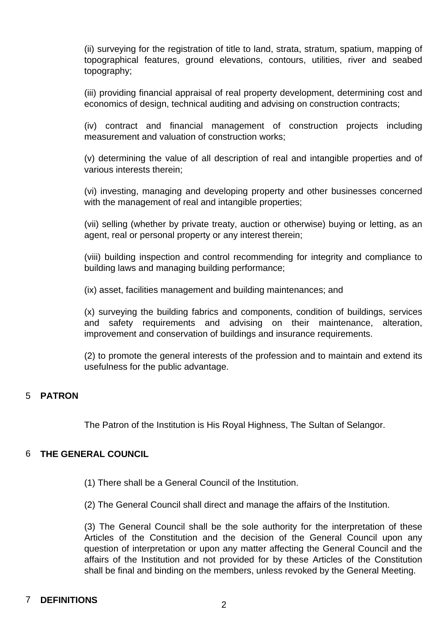(ii) surveying for the registration of title to land, strata, stratum, spatium, mapping of topographical features, ground elevations, contours, utilities, river and seabed topography;

(iii) providing financial appraisal of real property development, determining cost and economics of design, technical auditing and advising on construction contracts;

(iv) contract and financial management of construction projects including measurement and valuation of construction works;

(v) determining the value of all description of real and intangible properties and of various interests therein;

(vi) investing, managing and developing property and other businesses concerned with the management of real and intangible properties;

(vii) selling (whether by private treaty, auction or otherwise) buying or letting, as an agent, real or personal property or any interest therein;

(viii) building inspection and control recommending for integrity and compliance to building laws and managing building performance;

(ix) asset, facilities management and building maintenances; and

(x) surveying the building fabrics and components, condition of buildings, services and safety requirements and advising on their maintenance, alteration, improvement and conservation of buildings and insurance requirements.

(2) to promote the general interests of the profession and to maintain and extend its usefulness for the public advantage.

#### 5 **PATRON**

The Patron of the Institution is His Royal Highness, The Sultan of Selangor.

#### 6 **THE GENERAL COUNCIL**

- (1) There shall be a General Council of the Institution.
- (2) The General Council shall direct and manage the affairs of the Institution.

(3) The General Council shall be the sole authority for the interpretation of these Articles of the Constitution and the decision of the General Council upon any question of interpretation or upon any matter affecting the General Council and the affairs of the Institution and not provided for by these Articles of the Constitution shall be final and binding on the members, unless revoked by the General Meeting.

### <sup>7</sup> **DEFINITIONS** <sup>2</sup>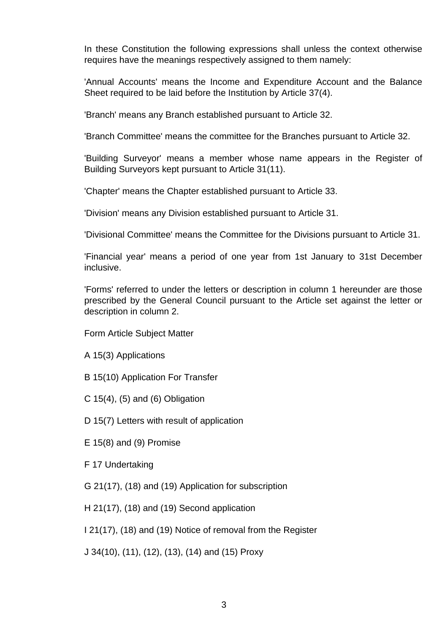In these Constitution the following expressions shall unless the context otherwise requires have the meanings respectively assigned to them namely:

'Annual Accounts' means the Income and Expenditure Account and the Balance Sheet required to be laid before the Institution by Article 37(4).

'Branch' means any Branch established pursuant to Article 32.

'Branch Committee' means the committee for the Branches pursuant to Article 32.

'Building Surveyor' means a member whose name appears in the Register of Building Surveyors kept pursuant to Article 31(11).

'Chapter' means the Chapter established pursuant to Article 33.

'Division' means any Division established pursuant to Article 31.

'Divisional Committee' means the Committee for the Divisions pursuant to Article 31.

'Financial year' means a period of one year from 1st January to 31st December inclusive.

'Forms' referred to under the letters or description in column 1 hereunder are those prescribed by the General Council pursuant to the Article set against the letter or description in column 2.

Form Article Subject Matter

- A 15(3) Applications
- B 15(10) Application For Transfer
- C  $15(4)$ ,  $(5)$  and  $(6)$  Obligation
- D 15(7) Letters with result of application
- E 15(8) and (9) Promise
- F 17 Undertaking
- G 21(17), (18) and (19) Application for subscription
- H 21(17), (18) and (19) Second application

I 21(17), (18) and (19) Notice of removal from the Register

J 34(10), (11), (12), (13), (14) and (15) Proxy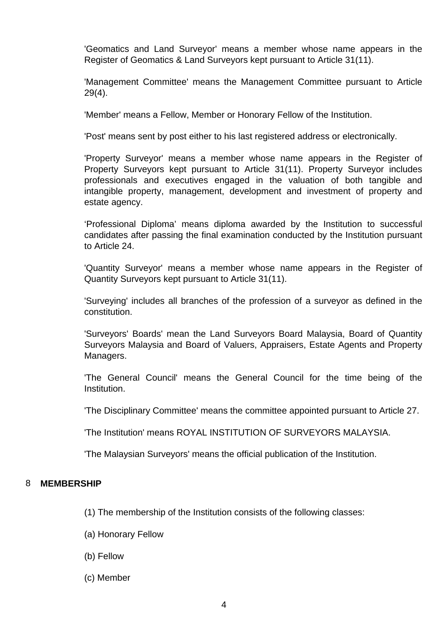'Geomatics and Land Surveyor' means a member whose name appears in the Register of Geomatics & Land Surveyors kept pursuant to Article 31(11).

'Management Committee' means the Management Committee pursuant to Article 29(4).

'Member' means a Fellow, Member or Honorary Fellow of the Institution.

'Post' means sent by post either to his last registered address or electronically.

'Property Surveyor' means a member whose name appears in the Register of Property Surveyors kept pursuant to Article 31(11). Property Surveyor includes professionals and executives engaged in the valuation of both tangible and intangible property, management, development and investment of property and estate agency.

'Professional Diploma' means diploma awarded by the Institution to successful candidates after passing the final examination conducted by the Institution pursuant to Article 24.

'Quantity Surveyor' means a member whose name appears in the Register of Quantity Surveyors kept pursuant to Article 31(11).

'Surveying' includes all branches of the profession of a surveyor as defined in the constitution.

'Surveyors' Boards' mean the Land Surveyors Board Malaysia, Board of Quantity Surveyors Malaysia and Board of Valuers, Appraisers, Estate Agents and Property Managers.

'The General Council' means the General Council for the time being of the Institution.

'The Disciplinary Committee' means the committee appointed pursuant to Article 27.

'The Institution' means ROYAL INSTITUTION OF SURVEYORS MALAYSIA.

'The Malaysian Surveyors' means the official publication of the Institution.

#### 8 **MEMBERSHIP**

- (1) The membership of the Institution consists of the following classes:
- (a) Honorary Fellow
- (b) Fellow
- (c) Member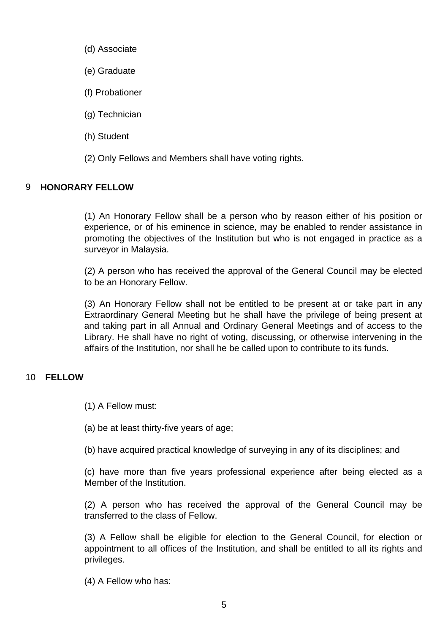- (d) Associate
- (e) Graduate
- (f) Probationer
- (g) Technician
- (h) Student
- (2) Only Fellows and Members shall have voting rights.

#### 9 **HONORARY FELLOW**

(1) An Honorary Fellow shall be a person who by reason either of his position or experience, or of his eminence in science, may be enabled to render assistance in promoting the objectives of the Institution but who is not engaged in practice as a surveyor in Malaysia.

(2) A person who has received the approval of the General Council may be elected to be an Honorary Fellow.

(3) An Honorary Fellow shall not be entitled to be present at or take part in any Extraordinary General Meeting but he shall have the privilege of being present at and taking part in all Annual and Ordinary General Meetings and of access to the Library. He shall have no right of voting, discussing, or otherwise intervening in the affairs of the Institution, nor shall he be called upon to contribute to its funds.

#### 10 **FELLOW**

- (1) A Fellow must:
- (a) be at least thirty-five years of age;
- (b) have acquired practical knowledge of surveying in any of its disciplines; and

(c) have more than five years professional experience after being elected as a Member of the Institution.

(2) A person who has received the approval of the General Council may be transferred to the class of Fellow.

(3) A Fellow shall be eligible for election to the General Council, for election or appointment to all offices of the Institution, and shall be entitled to all its rights and privileges.

(4) A Fellow who has: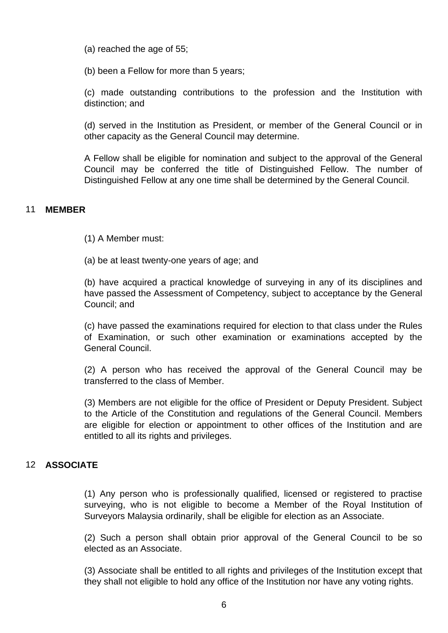(a) reached the age of 55;

(b) been a Fellow for more than 5 years;

(c) made outstanding contributions to the profession and the Institution with distinction; and

(d) served in the Institution as President, or member of the General Council or in other capacity as the General Council may determine.

A Fellow shall be eligible for nomination and subject to the approval of the General Council may be conferred the title of Distinguished Fellow. The number of Distinguished Fellow at any one time shall be determined by the General Council.

#### 11 **MEMBER**

(1) A Member must:

(a) be at least twenty-one years of age; and

(b) have acquired a practical knowledge of surveying in any of its disciplines and have passed the Assessment of Competency, subject to acceptance by the General Council; and

(c) have passed the examinations required for election to that class under the Rules of Examination, or such other examination or examinations accepted by the General Council.

(2) A person who has received the approval of the General Council may be transferred to the class of Member.

(3) Members are not eligible for the office of President or Deputy President. Subject to the Article of the Constitution and regulations of the General Council. Members are eligible for election or appointment to other offices of the Institution and are entitled to all its rights and privileges.

#### 12 **ASSOCIATE**

(1) Any person who is professionally qualified, licensed or registered to practise surveying, who is not eligible to become a Member of the Royal Institution of Surveyors Malaysia ordinarily, shall be eligible for election as an Associate.

(2) Such a person shall obtain prior approval of the General Council to be so elected as an Associate.

(3) Associate shall be entitled to all rights and privileges of the Institution except that they shall not eligible to hold any office of the Institution nor have any voting rights.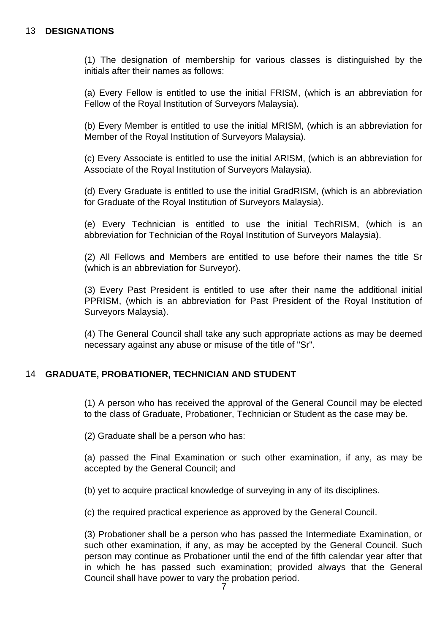#### 13 **DESIGNATIONS**

(1) The designation of membership for various classes is distinguished by the initials after their names as follows:

(a) Every Fellow is entitled to use the initial FRISM, (which is an abbreviation for Fellow of the Royal Institution of Surveyors Malaysia).

(b) Every Member is entitled to use the initial MRISM, (which is an abbreviation for Member of the Royal Institution of Surveyors Malaysia).

(c) Every Associate is entitled to use the initial ARISM, (which is an abbreviation for Associate of the Royal Institution of Surveyors Malaysia).

(d) Every Graduate is entitled to use the initial GradRISM, (which is an abbreviation for Graduate of the Royal Institution of Surveyors Malaysia).

(e) Every Technician is entitled to use the initial TechRISM, (which is an abbreviation for Technician of the Royal Institution of Surveyors Malaysia).

(2) All Fellows and Members are entitled to use before their names the title Sr (which is an abbreviation for Surveyor).

(3) Every Past President is entitled to use after their name the additional initial PPRISM, (which is an abbreviation for Past President of the Royal Institution of Surveyors Malaysia).

(4) The General Council shall take any such appropriate actions as may be deemed necessary against any abuse or misuse of the title of "Sr".

#### 14 **GRADUATE, PROBATIONER, TECHNICIAN AND STUDENT**

(1) A person who has received the approval of the General Council may be elected to the class of Graduate, Probationer, Technician or Student as the case may be.

(2) Graduate shall be a person who has:

(a) passed the Final Examination or such other examination, if any, as may be accepted by the General Council; and

(b) yet to acquire practical knowledge of surveying in any of its disciplines.

(c) the required practical experience as approved by the General Council.

(3) Probationer shall be a person who has passed the Intermediate Examination, or such other examination, if any, as may be accepted by the General Council. Such person may continue as Probationer until the end of the fifth calendar year after that in which he has passed such examination; provided always that the General Council shall have power to vary the probation period.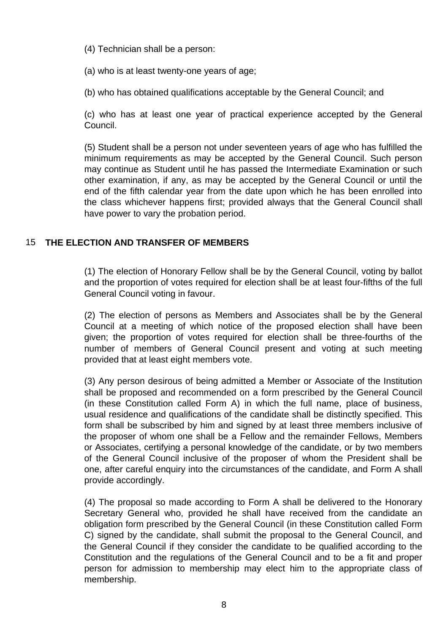(4) Technician shall be a person:

(a) who is at least twenty-one years of age;

(b) who has obtained qualifications acceptable by the General Council; and

(c) who has at least one year of practical experience accepted by the General Council.

(5) Student shall be a person not under seventeen years of age who has fulfilled the minimum requirements as may be accepted by the General Council. Such person may continue as Student until he has passed the Intermediate Examination or such other examination, if any, as may be accepted by the General Council or until the end of the fifth calendar year from the date upon which he has been enrolled into the class whichever happens first; provided always that the General Council shall have power to vary the probation period.

#### 15 **THE ELECTION AND TRANSFER OF MEMBERS**

(1) The election of Honorary Fellow shall be by the General Council, voting by ballot and the proportion of votes required for election shall be at least four-fifths of the full General Council voting in favour.

(2) The election of persons as Members and Associates shall be by the General Council at a meeting of which notice of the proposed election shall have been given; the proportion of votes required for election shall be three-fourths of the number of members of General Council present and voting at such meeting provided that at least eight members vote.

(3) Any person desirous of being admitted a Member or Associate of the Institution shall be proposed and recommended on a form prescribed by the General Council (in these Constitution called Form A) in which the full name, place of business, usual residence and qualifications of the candidate shall be distinctly specified. This form shall be subscribed by him and signed by at least three members inclusive of the proposer of whom one shall be a Fellow and the remainder Fellows, Members or Associates, certifying a personal knowledge of the candidate, or by two members of the General Council inclusive of the proposer of whom the President shall be one, after careful enquiry into the circumstances of the candidate, and Form A shall provide accordingly.

(4) The proposal so made according to Form A shall be delivered to the Honorary Secretary General who, provided he shall have received from the candidate an obligation form prescribed by the General Council (in these Constitution called Form C) signed by the candidate, shall submit the proposal to the General Council, and the General Council if they consider the candidate to be qualified according to the Constitution and the regulations of the General Council and to be a fit and proper person for admission to membership may elect him to the appropriate class of membership.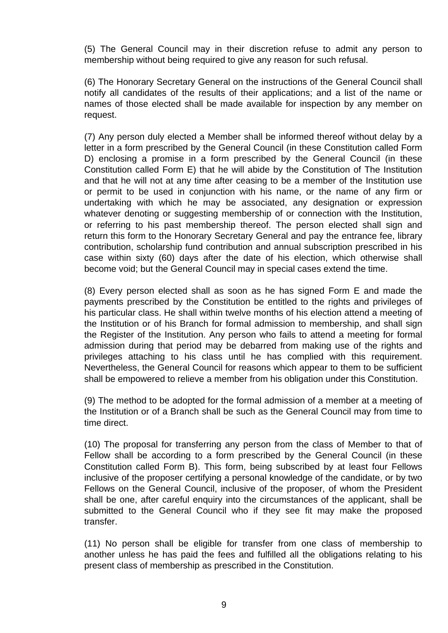(5) The General Council may in their discretion refuse to admit any person to membership without being required to give any reason for such refusal.

(6) The Honorary Secretary General on the instructions of the General Council shall notify all candidates of the results of their applications; and a list of the name or names of those elected shall be made available for inspection by any member on request.

(7) Any person duly elected a Member shall be informed thereof without delay by a letter in a form prescribed by the General Council (in these Constitution called Form D) enclosing a promise in a form prescribed by the General Council (in these Constitution called Form E) that he will abide by the Constitution of The Institution and that he will not at any time after ceasing to be a member of the Institution use or permit to be used in conjunction with his name, or the name of any firm or undertaking with which he may be associated, any designation or expression whatever denoting or suggesting membership of or connection with the Institution, or referring to his past membership thereof. The person elected shall sign and return this form to the Honorary Secretary General and pay the entrance fee, library contribution, scholarship fund contribution and annual subscription prescribed in his case within sixty (60) days after the date of his election, which otherwise shall become void; but the General Council may in special cases extend the time.

(8) Every person elected shall as soon as he has signed Form E and made the payments prescribed by the Constitution be entitled to the rights and privileges of his particular class. He shall within twelve months of his election attend a meeting of the Institution or of his Branch for formal admission to membership, and shall sign the Register of the Institution. Any person who fails to attend a meeting for formal admission during that period may be debarred from making use of the rights and privileges attaching to his class until he has complied with this requirement. Nevertheless, the General Council for reasons which appear to them to be sufficient shall be empowered to relieve a member from his obligation under this Constitution.

(9) The method to be adopted for the formal admission of a member at a meeting of the Institution or of a Branch shall be such as the General Council may from time to time direct.

(10) The proposal for transferring any person from the class of Member to that of Fellow shall be according to a form prescribed by the General Council (in these Constitution called Form B). This form, being subscribed by at least four Fellows inclusive of the proposer certifying a personal knowledge of the candidate, or by two Fellows on the General Council, inclusive of the proposer, of whom the President shall be one, after careful enquiry into the circumstances of the applicant, shall be submitted to the General Council who if they see fit may make the proposed transfer.

(11) No person shall be eligible for transfer from one class of membership to another unless he has paid the fees and fulfilled all the obligations relating to his present class of membership as prescribed in the Constitution.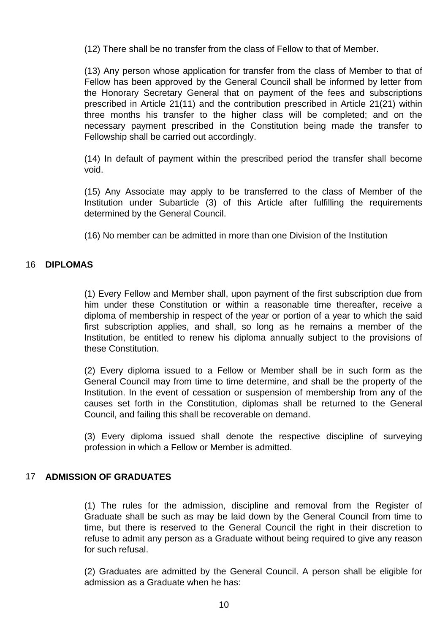(12) There shall be no transfer from the class of Fellow to that of Member.

(13) Any person whose application for transfer from the class of Member to that of Fellow has been approved by the General Council shall be informed by letter from the Honorary Secretary General that on payment of the fees and subscriptions prescribed in Article 21(11) and the contribution prescribed in Article 21(21) within three months his transfer to the higher class will be completed; and on the necessary payment prescribed in the Constitution being made the transfer to Fellowship shall be carried out accordingly.

(14) In default of payment within the prescribed period the transfer shall become void.

(15) Any Associate may apply to be transferred to the class of Member of the Institution under Subarticle (3) of this Article after fulfilling the requirements determined by the General Council.

(16) No member can be admitted in more than one Division of the Institution

#### 16 **DIPLOMAS**

(1) Every Fellow and Member shall, upon payment of the first subscription due from him under these Constitution or within a reasonable time thereafter, receive a diploma of membership in respect of the year or portion of a year to which the said first subscription applies, and shall, so long as he remains a member of the Institution, be entitled to renew his diploma annually subject to the provisions of these Constitution.

(2) Every diploma issued to a Fellow or Member shall be in such form as the General Council may from time to time determine, and shall be the property of the Institution. In the event of cessation or suspension of membership from any of the causes set forth in the Constitution, diplomas shall be returned to the General Council, and failing this shall be recoverable on demand.

(3) Every diploma issued shall denote the respective discipline of surveying profession in which a Fellow or Member is admitted.

#### 17 **ADMISSION OF GRADUATES**

(1) The rules for the admission, discipline and removal from the Register of Graduate shall be such as may be laid down by the General Council from time to time, but there is reserved to the General Council the right in their discretion to refuse to admit any person as a Graduate without being required to give any reason for such refusal.

(2) Graduates are admitted by the General Council. A person shall be eligible for admission as a Graduate when he has: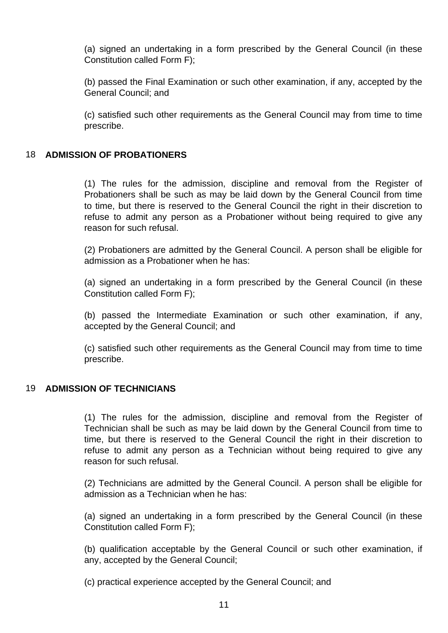(a) signed an undertaking in a form prescribed by the General Council (in these Constitution called Form F);

(b) passed the Final Examination or such other examination, if any, accepted by the General Council; and

(c) satisfied such other requirements as the General Council may from time to time prescribe.

#### 18 **ADMISSION OF PROBATIONERS**

(1) The rules for the admission, discipline and removal from the Register of Probationers shall be such as may be laid down by the General Council from time to time, but there is reserved to the General Council the right in their discretion to refuse to admit any person as a Probationer without being required to give any reason for such refusal.

(2) Probationers are admitted by the General Council. A person shall be eligible for admission as a Probationer when he has:

(a) signed an undertaking in a form prescribed by the General Council (in these Constitution called Form F);

(b) passed the Intermediate Examination or such other examination, if any, accepted by the General Council; and

(c) satisfied such other requirements as the General Council may from time to time prescribe.

#### 19 **ADMISSION OF TECHNICIANS**

(1) The rules for the admission, discipline and removal from the Register of Technician shall be such as may be laid down by the General Council from time to time, but there is reserved to the General Council the right in their discretion to refuse to admit any person as a Technician without being required to give any reason for such refusal.

(2) Technicians are admitted by the General Council. A person shall be eligible for admission as a Technician when he has:

(a) signed an undertaking in a form prescribed by the General Council (in these Constitution called Form F);

(b) qualification acceptable by the General Council or such other examination, if any, accepted by the General Council;

(c) practical experience accepted by the General Council; and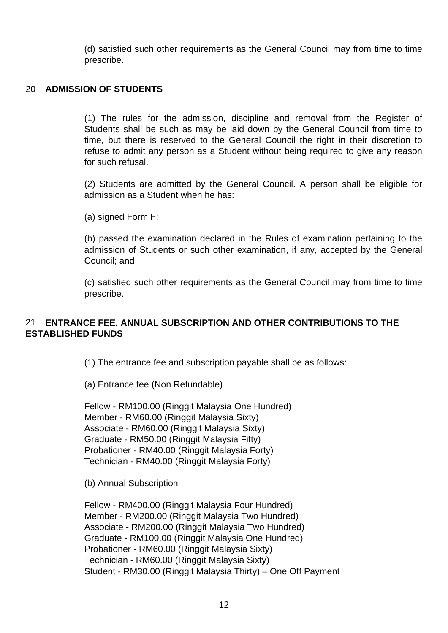(d) satisfied such other requirements as the General Council may from time to time prescribe.

#### 20 **ADMISSION OF STUDENTS**

(1) The rules for the admission, discipline and removal from the Register of Students shall be such as may be laid down by the General Council from time to time, but there is reserved to the General Council the right in their discretion to refuse to admit any person as a Student without being required to give any reason for such refusal.

(2) Students are admitted by the General Council. A person shall be eligible for admission as a Student when he has:

(a) signed Form F;

(b) passed the examination declared in the Rules of examination pertaining to the admission of Students or such other examination, if any, accepted by the General Council; and

(c) satisfied such other requirements as the General Council may from time to time prescribe.

#### 21 **ENTRANCE FEE, ANNUAL SUBSCRIPTION AND OTHER CONTRIBUTIONS TO THE ESTABLISHED FUNDS**

(1) The entrance fee and subscription payable shall be as follows:

(a) Entrance fee (Non Refundable)

Fellow - RM100.00 (Ringgit Malaysia One Hundred) Member - RM60.00 (Ringgit Malaysia Sixty) Associate - RM60.00 (Ringgit Malaysia Sixty) Graduate - RM50.00 (Ringgit Malaysia Fifty) Probationer - RM40.00 (Ringgit Malaysia Forty) Technician - RM40.00 (Ringgit Malaysia Forty)

(b) Annual Subscription

Fellow - RM400.00 (Ringgit Malaysia Four Hundred) Member - RM200.00 (Ringgit Malaysia Two Hundred) Associate - RM200.00 (Ringgit Malaysia Two Hundred) Graduate - RM100.00 (Ringgit Malaysia One Hundred) Probationer - RM60.00 (Ringgit Malaysia Sixty) Technician - RM60.00 (Ringgit Malaysia Sixty) Student - RM30.00 (Ringgit Malaysia Thirty) – One Off Payment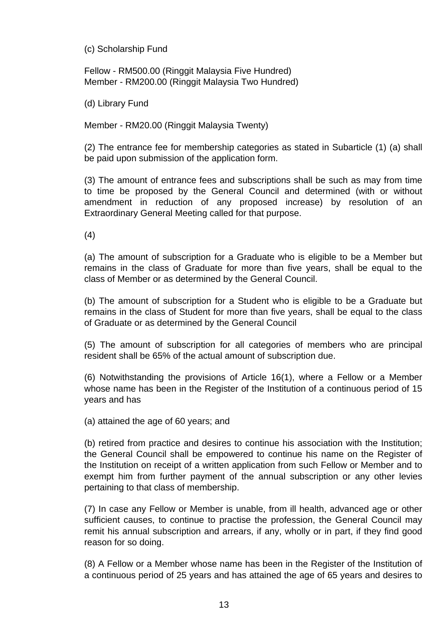(c) Scholarship Fund

Fellow - RM500.00 (Ringgit Malaysia Five Hundred) Member - RM200.00 (Ringgit Malaysia Two Hundred)

(d) Library Fund

Member - RM20.00 (Ringgit Malaysia Twenty)

(2) The entrance fee for membership categories as stated in Subarticle (1) (a) shall be paid upon submission of the application form.

(3) The amount of entrance fees and subscriptions shall be such as may from time to time be proposed by the General Council and determined (with or without amendment in reduction of any proposed increase) by resolution of an Extraordinary General Meeting called for that purpose.

(4)

(a) The amount of subscription for a Graduate who is eligible to be a Member but remains in the class of Graduate for more than five years, shall be equal to the class of Member or as determined by the General Council.

(b) The amount of subscription for a Student who is eligible to be a Graduate but remains in the class of Student for more than five years, shall be equal to the class of Graduate or as determined by the General Council

(5) The amount of subscription for all categories of members who are principal resident shall be 65% of the actual amount of subscription due.

(6) Notwithstanding the provisions of Article 16(1), where a Fellow or a Member whose name has been in the Register of the Institution of a continuous period of 15 years and has

(a) attained the age of 60 years; and

(b) retired from practice and desires to continue his association with the Institution; the General Council shall be empowered to continue his name on the Register of the Institution on receipt of a written application from such Fellow or Member and to exempt him from further payment of the annual subscription or any other levies pertaining to that class of membership.

(7) In case any Fellow or Member is unable, from ill health, advanced age or other sufficient causes, to continue to practise the profession, the General Council may remit his annual subscription and arrears, if any, wholly or in part, if they find good reason for so doing.

(8) A Fellow or a Member whose name has been in the Register of the Institution of a continuous period of 25 years and has attained the age of 65 years and desires to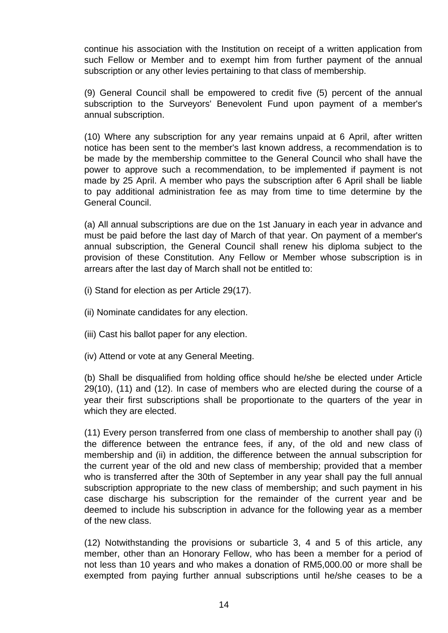continue his association with the Institution on receipt of a written application from such Fellow or Member and to exempt him from further payment of the annual subscription or any other levies pertaining to that class of membership.

(9) General Council shall be empowered to credit five (5) percent of the annual subscription to the Surveyors' Benevolent Fund upon payment of a member's annual subscription.

(10) Where any subscription for any year remains unpaid at 6 April, after written notice has been sent to the member's last known address, a recommendation is to be made by the membership committee to the General Council who shall have the power to approve such a recommendation, to be implemented if payment is not made by 25 April. A member who pays the subscription after 6 April shall be liable to pay additional administration fee as may from time to time determine by the General Council.

(a) All annual subscriptions are due on the 1st January in each year in advance and must be paid before the last day of March of that year. On payment of a member's annual subscription, the General Council shall renew his diploma subject to the provision of these Constitution. Any Fellow or Member whose subscription is in arrears after the last day of March shall not be entitled to:

- (i) Stand for election as per Article 29(17).
- (ii) Nominate candidates for any election.
- (iii) Cast his ballot paper for any election.
- (iv) Attend or vote at any General Meeting.

(b) Shall be disqualified from holding office should he/she be elected under Article 29(10), (11) and (12). In case of members who are elected during the course of a year their first subscriptions shall be proportionate to the quarters of the year in which they are elected.

(11) Every person transferred from one class of membership to another shall pay (i) the difference between the entrance fees, if any, of the old and new class of membership and (ii) in addition, the difference between the annual subscription for the current year of the old and new class of membership; provided that a member who is transferred after the 30th of September in any year shall pay the full annual subscription appropriate to the new class of membership; and such payment in his case discharge his subscription for the remainder of the current year and be deemed to include his subscription in advance for the following year as a member of the new class.

(12) Notwithstanding the provisions or subarticle 3, 4 and 5 of this article, any member, other than an Honorary Fellow, who has been a member for a period of not less than 10 years and who makes a donation of RM5,000.00 or more shall be exempted from paying further annual subscriptions until he/she ceases to be a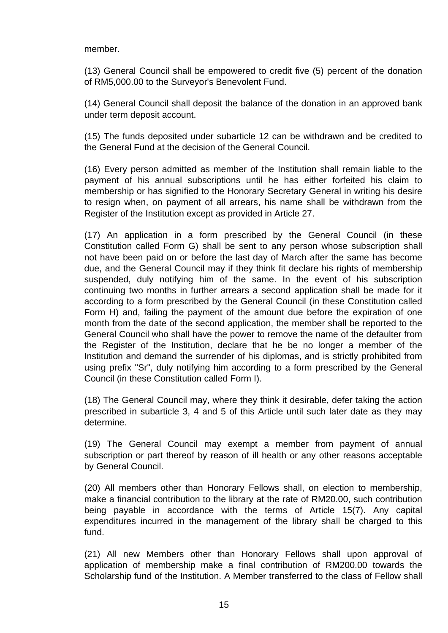member.

(13) General Council shall be empowered to credit five (5) percent of the donation of RM5,000.00 to the Surveyor's Benevolent Fund.

(14) General Council shall deposit the balance of the donation in an approved bank under term deposit account.

(15) The funds deposited under subarticle 12 can be withdrawn and be credited to the General Fund at the decision of the General Council.

(16) Every person admitted as member of the Institution shall remain liable to the payment of his annual subscriptions until he has either forfeited his claim to membership or has signified to the Honorary Secretary General in writing his desire to resign when, on payment of all arrears, his name shall be withdrawn from the Register of the Institution except as provided in Article 27.

(17) An application in a form prescribed by the General Council (in these Constitution called Form G) shall be sent to any person whose subscription shall not have been paid on or before the last day of March after the same has become due, and the General Council may if they think fit declare his rights of membership suspended, duly notifying him of the same. In the event of his subscription continuing two months in further arrears a second application shall be made for it according to a form prescribed by the General Council (in these Constitution called Form H) and, failing the payment of the amount due before the expiration of one month from the date of the second application, the member shall be reported to the General Council who shall have the power to remove the name of the defaulter from the Register of the Institution, declare that he be no longer a member of the Institution and demand the surrender of his diplomas, and is strictly prohibited from using prefix "Sr", duly notifying him according to a form prescribed by the General Council (in these Constitution called Form I).

(18) The General Council may, where they think it desirable, defer taking the action prescribed in subarticle 3, 4 and 5 of this Article until such later date as they may determine.

(19) The General Council may exempt a member from payment of annual subscription or part thereof by reason of ill health or any other reasons acceptable by General Council.

(20) All members other than Honorary Fellows shall, on election to membership, make a financial contribution to the library at the rate of RM20.00, such contribution being payable in accordance with the terms of Article 15(7). Any capital expenditures incurred in the management of the library shall be charged to this fund.

(21) All new Members other than Honorary Fellows shall upon approval of application of membership make a final contribution of RM200.00 towards the Scholarship fund of the Institution. A Member transferred to the class of Fellow shall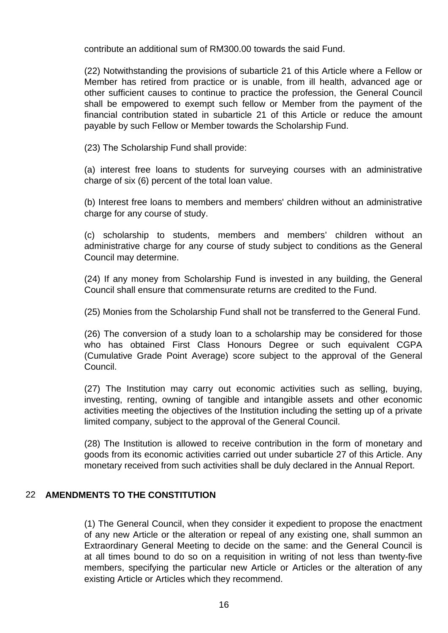contribute an additional sum of RM300.00 towards the said Fund.

(22) Notwithstanding the provisions of subarticle 21 of this Article where a Fellow or Member has retired from practice or is unable, from ill health, advanced age or other sufficient causes to continue to practice the profession, the General Council shall be empowered to exempt such fellow or Member from the payment of the financial contribution stated in subarticle 21 of this Article or reduce the amount payable by such Fellow or Member towards the Scholarship Fund.

(23) The Scholarship Fund shall provide:

(a) interest free loans to students for surveying courses with an administrative charge of six (6) percent of the total loan value.

(b) Interest free loans to members and members' children without an administrative charge for any course of study.

(c) scholarship to students, members and members' children without an administrative charge for any course of study subject to conditions as the General Council may determine.

(24) If any money from Scholarship Fund is invested in any building, the General Council shall ensure that commensurate returns are credited to the Fund.

(25) Monies from the Scholarship Fund shall not be transferred to the General Fund.

(26) The conversion of a study loan to a scholarship may be considered for those who has obtained First Class Honours Degree or such equivalent CGPA (Cumulative Grade Point Average) score subject to the approval of the General Council.

(27) The Institution may carry out economic activities such as selling, buying, investing, renting, owning of tangible and intangible assets and other economic activities meeting the objectives of the Institution including the setting up of a private limited company, subject to the approval of the General Council.

(28) The Institution is allowed to receive contribution in the form of monetary and goods from its economic activities carried out under subarticle 27 of this Article. Any monetary received from such activities shall be duly declared in the Annual Report.

#### 22 **AMENDMENTS TO THE CONSTITUTION**

(1) The General Council, when they consider it expedient to propose the enactment of any new Article or the alteration or repeal of any existing one, shall summon an Extraordinary General Meeting to decide on the same: and the General Council is at all times bound to do so on a requisition in writing of not less than twenty-five members, specifying the particular new Article or Articles or the alteration of any existing Article or Articles which they recommend.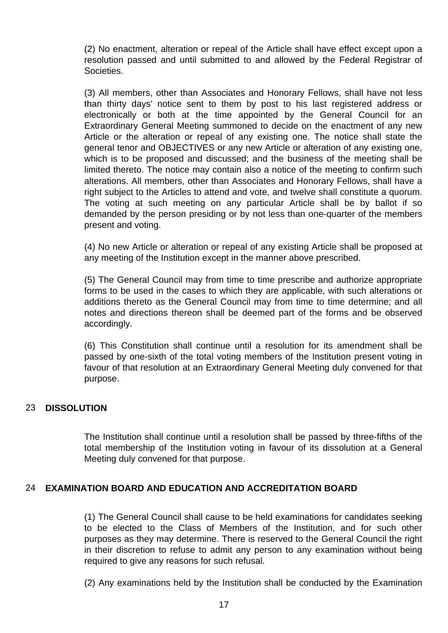(2) No enactment, alteration or repeal of the Article shall have effect except upon a resolution passed and until submitted to and allowed by the Federal Registrar of Societies.

(3) All members, other than Associates and Honorary Fellows, shall have not less than thirty days' notice sent to them by post to his last registered address or electronically or both at the time appointed by the General Council for an Extraordinary General Meeting summoned to decide on the enactment of any new Article or the alteration or repeal of any existing one. The notice shall state the general tenor and OBJECTIVES or any new Article or alteration of any existing one, which is to be proposed and discussed; and the business of the meeting shall be limited thereto. The notice may contain also a notice of the meeting to confirm such alterations. All members, other than Associates and Honorary Fellows, shall have a right subject to the Articles to attend and vote, and twelve shall constitute a quorum. The voting at such meeting on any particular Article shall be by ballot if so demanded by the person presiding or by not less than one-quarter of the members present and voting.

(4) No new Article or alteration or repeal of any existing Article shall be proposed at any meeting of the Institution except in the manner above prescribed.

(5) The General Council may from time to time prescribe and authorize appropriate forms to be used in the cases to which they are applicable, with such alterations or additions thereto as the General Council may from time to time determine; and all notes and directions thereon shall be deemed part of the forms and be observed accordingly.

(6) This Constitution shall continue until a resolution for its amendment shall be passed by one-sixth of the total voting members of the Institution present voting in favour of that resolution at an Extraordinary General Meeting duly convened for that purpose.

#### 23 **DISSOLUTION**

The Institution shall continue until a resolution shall be passed by three-fifths of the total membership of the Institution voting in favour of its dissolution at a General Meeting duly convened for that purpose.

#### 24 **EXAMINATION BOARD AND EDUCATION AND ACCREDITATION BOARD**

(1) The General Council shall cause to be held examinations for candidates seeking to be elected to the Class of Members of the Institution, and for such other purposes as they may determine. There is reserved to the General Council the right in their discretion to refuse to admit any person to any examination without being required to give any reasons for such refusal.

(2) Any examinations held by the Institution shall be conducted by the Examination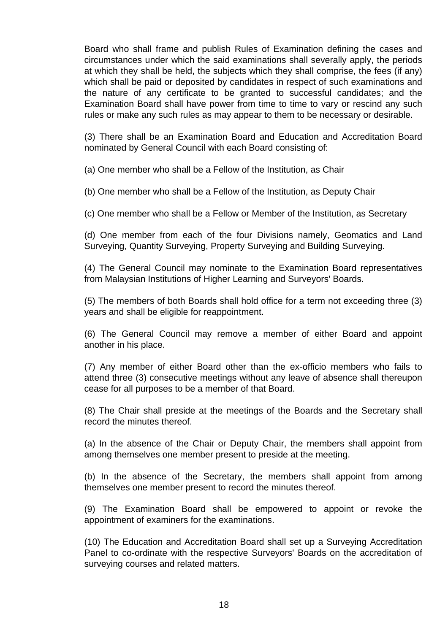Board who shall frame and publish Rules of Examination defining the cases and circumstances under which the said examinations shall severally apply, the periods at which they shall be held, the subjects which they shall comprise, the fees (if any) which shall be paid or deposited by candidates in respect of such examinations and the nature of any certificate to be granted to successful candidates; and the Examination Board shall have power from time to time to vary or rescind any such rules or make any such rules as may appear to them to be necessary or desirable.

(3) There shall be an Examination Board and Education and Accreditation Board nominated by General Council with each Board consisting of:

(a) One member who shall be a Fellow of the Institution, as Chair

(b) One member who shall be a Fellow of the Institution, as Deputy Chair

(c) One member who shall be a Fellow or Member of the Institution, as Secretary

(d) One member from each of the four Divisions namely, Geomatics and Land Surveying, Quantity Surveying, Property Surveying and Building Surveying.

(4) The General Council may nominate to the Examination Board representatives from Malaysian Institutions of Higher Learning and Surveyors' Boards.

(5) The members of both Boards shall hold office for a term not exceeding three (3) years and shall be eligible for reappointment.

(6) The General Council may remove a member of either Board and appoint another in his place.

(7) Any member of either Board other than the ex-officio members who fails to attend three (3) consecutive meetings without any leave of absence shall thereupon cease for all purposes to be a member of that Board.

(8) The Chair shall preside at the meetings of the Boards and the Secretary shall record the minutes thereof.

(a) In the absence of the Chair or Deputy Chair, the members shall appoint from among themselves one member present to preside at the meeting.

(b) In the absence of the Secretary, the members shall appoint from among themselves one member present to record the minutes thereof.

(9) The Examination Board shall be empowered to appoint or revoke the appointment of examiners for the examinations.

(10) The Education and Accreditation Board shall set up a Surveying Accreditation Panel to co-ordinate with the respective Surveyors' Boards on the accreditation of surveying courses and related matters.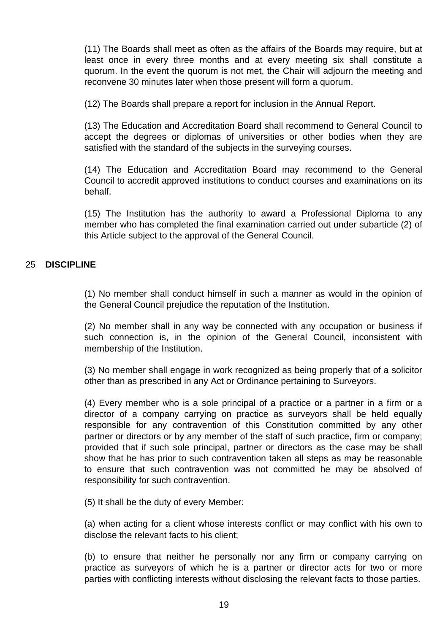(11) The Boards shall meet as often as the affairs of the Boards may require, but at least once in every three months and at every meeting six shall constitute a quorum. In the event the quorum is not met, the Chair will adjourn the meeting and reconvene 30 minutes later when those present will form a quorum.

(12) The Boards shall prepare a report for inclusion in the Annual Report.

(13) The Education and Accreditation Board shall recommend to General Council to accept the degrees or diplomas of universities or other bodies when they are satisfied with the standard of the subjects in the surveying courses.

(14) The Education and Accreditation Board may recommend to the General Council to accredit approved institutions to conduct courses and examinations on its behalf.

(15) The Institution has the authority to award a Professional Diploma to any member who has completed the final examination carried out under subarticle (2) of this Article subject to the approval of the General Council.

#### 25 **DISCIPLINE**

(1) No member shall conduct himself in such a manner as would in the opinion of the General Council prejudice the reputation of the Institution.

(2) No member shall in any way be connected with any occupation or business if such connection is, in the opinion of the General Council, inconsistent with membership of the Institution.

(3) No member shall engage in work recognized as being properly that of a solicitor other than as prescribed in any Act or Ordinance pertaining to Surveyors.

(4) Every member who is a sole principal of a practice or a partner in a firm or a director of a company carrying on practice as surveyors shall be held equally responsible for any contravention of this Constitution committed by any other partner or directors or by any member of the staff of such practice, firm or company; provided that if such sole principal, partner or directors as the case may be shall show that he has prior to such contravention taken all steps as may be reasonable to ensure that such contravention was not committed he may be absolved of responsibility for such contravention.

(5) It shall be the duty of every Member:

(a) when acting for a client whose interests conflict or may conflict with his own to disclose the relevant facts to his client;

(b) to ensure that neither he personally nor any firm or company carrying on practice as surveyors of which he is a partner or director acts for two or more parties with conflicting interests without disclosing the relevant facts to those parties.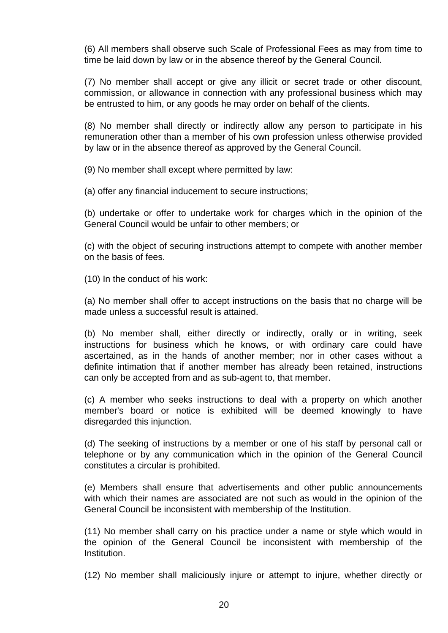(6) All members shall observe such Scale of Professional Fees as may from time to time be laid down by law or in the absence thereof by the General Council.

(7) No member shall accept or give any illicit or secret trade or other discount, commission, or allowance in connection with any professional business which may be entrusted to him, or any goods he may order on behalf of the clients.

(8) No member shall directly or indirectly allow any person to participate in his remuneration other than a member of his own profession unless otherwise provided by law or in the absence thereof as approved by the General Council.

(9) No member shall except where permitted by law:

(a) offer any financial inducement to secure instructions;

(b) undertake or offer to undertake work for charges which in the opinion of the General Council would be unfair to other members; or

(c) with the object of securing instructions attempt to compete with another member on the basis of fees.

(10) In the conduct of his work:

(a) No member shall offer to accept instructions on the basis that no charge will be made unless a successful result is attained.

(b) No member shall, either directly or indirectly, orally or in writing, seek instructions for business which he knows, or with ordinary care could have ascertained, as in the hands of another member; nor in other cases without a definite intimation that if another member has already been retained, instructions can only be accepted from and as sub-agent to, that member.

(c) A member who seeks instructions to deal with a property on which another member's board or notice is exhibited will be deemed knowingly to have disregarded this injunction.

(d) The seeking of instructions by a member or one of his staff by personal call or telephone or by any communication which in the opinion of the General Council constitutes a circular is prohibited.

(e) Members shall ensure that advertisements and other public announcements with which their names are associated are not such as would in the opinion of the General Council be inconsistent with membership of the Institution.

(11) No member shall carry on his practice under a name or style which would in the opinion of the General Council be inconsistent with membership of the Institution.

(12) No member shall maliciously injure or attempt to injure, whether directly or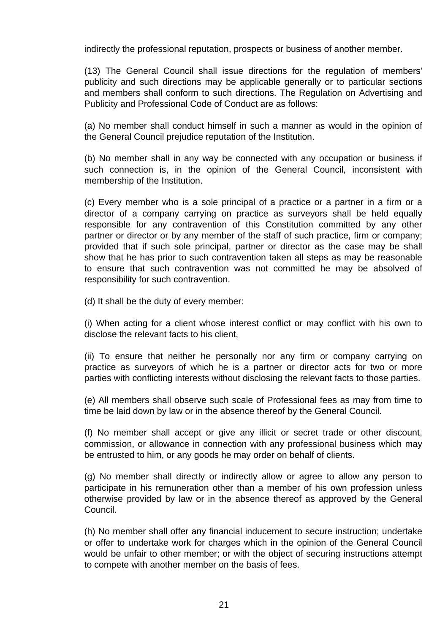indirectly the professional reputation, prospects or business of another member.

(13) The General Council shall issue directions for the regulation of members' publicity and such directions may be applicable generally or to particular sections and members shall conform to such directions. The Regulation on Advertising and Publicity and Professional Code of Conduct are as follows:

(a) No member shall conduct himself in such a manner as would in the opinion of the General Council prejudice reputation of the Institution.

(b) No member shall in any way be connected with any occupation or business if such connection is, in the opinion of the General Council, inconsistent with membership of the Institution.

(c) Every member who is a sole principal of a practice or a partner in a firm or a director of a company carrying on practice as surveyors shall be held equally responsible for any contravention of this Constitution committed by any other partner or director or by any member of the staff of such practice, firm or company; provided that if such sole principal, partner or director as the case may be shall show that he has prior to such contravention taken all steps as may be reasonable to ensure that such contravention was not committed he may be absolved of responsibility for such contravention.

(d) It shall be the duty of every member:

(i) When acting for a client whose interest conflict or may conflict with his own to disclose the relevant facts to his client,

(ii) To ensure that neither he personally nor any firm or company carrying on practice as surveyors of which he is a partner or director acts for two or more parties with conflicting interests without disclosing the relevant facts to those parties.

(e) All members shall observe such scale of Professional fees as may from time to time be laid down by law or in the absence thereof by the General Council.

(f) No member shall accept or give any illicit or secret trade or other discount, commission, or allowance in connection with any professional business which may be entrusted to him, or any goods he may order on behalf of clients.

(g) No member shall directly or indirectly allow or agree to allow any person to participate in his remuneration other than a member of his own profession unless otherwise provided by law or in the absence thereof as approved by the General Council.

(h) No member shall offer any financial inducement to secure instruction; undertake or offer to undertake work for charges which in the opinion of the General Council would be unfair to other member; or with the object of securing instructions attempt to compete with another member on the basis of fees.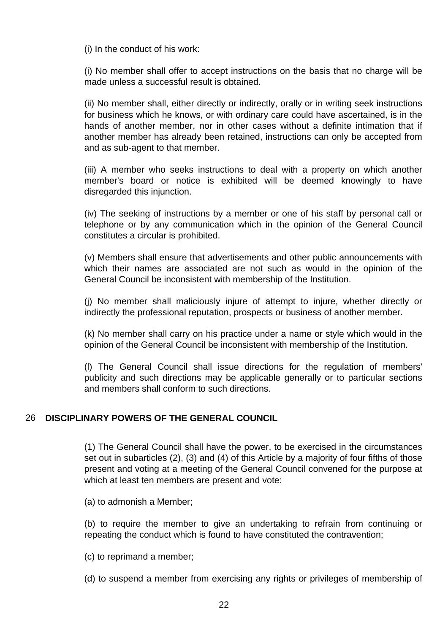(i) In the conduct of his work:

(i) No member shall offer to accept instructions on the basis that no charge will be made unless a successful result is obtained.

(ii) No member shall, either directly or indirectly, orally or in writing seek instructions for business which he knows, or with ordinary care could have ascertained, is in the hands of another member, nor in other cases without a definite intimation that if another member has already been retained, instructions can only be accepted from and as sub-agent to that member.

(iii) A member who seeks instructions to deal with a property on which another member's board or notice is exhibited will be deemed knowingly to have disregarded this injunction.

(iv) The seeking of instructions by a member or one of his staff by personal call or telephone or by any communication which in the opinion of the General Council constitutes a circular is prohibited.

(v) Members shall ensure that advertisements and other public announcements with which their names are associated are not such as would in the opinion of the General Council be inconsistent with membership of the Institution.

(j) No member shall maliciously injure of attempt to injure, whether directly or indirectly the professional reputation, prospects or business of another member.

(k) No member shall carry on his practice under a name or style which would in the opinion of the General Council be inconsistent with membership of the Institution.

(l) The General Council shall issue directions for the regulation of members' publicity and such directions may be applicable generally or to particular sections and members shall conform to such directions.

#### 26 **DISCIPLINARY POWERS OF THE GENERAL COUNCIL**

(1) The General Council shall have the power, to be exercised in the circumstances set out in subarticles (2), (3) and (4) of this Article by a majority of four fifths of those present and voting at a meeting of the General Council convened for the purpose at which at least ten members are present and vote:

(a) to admonish a Member;

(b) to require the member to give an undertaking to refrain from continuing or repeating the conduct which is found to have constituted the contravention;

(c) to reprimand a member;

(d) to suspend a member from exercising any rights or privileges of membership of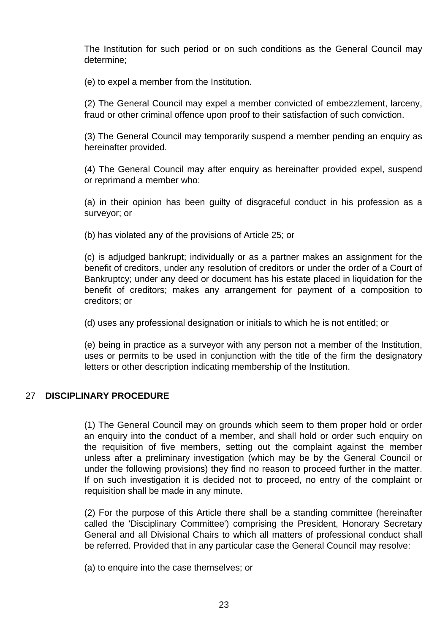The Institution for such period or on such conditions as the General Council may determine;

(e) to expel a member from the Institution.

(2) The General Council may expel a member convicted of embezzlement, larceny, fraud or other criminal offence upon proof to their satisfaction of such conviction.

(3) The General Council may temporarily suspend a member pending an enquiry as hereinafter provided.

(4) The General Council may after enquiry as hereinafter provided expel, suspend or reprimand a member who:

(a) in their opinion has been guilty of disgraceful conduct in his profession as a surveyor; or

(b) has violated any of the provisions of Article 25; or

(c) is adjudged bankrupt; individually or as a partner makes an assignment for the benefit of creditors, under any resolution of creditors or under the order of a Court of Bankruptcy; under any deed or document has his estate placed in liquidation for the benefit of creditors; makes any arrangement for payment of a composition to creditors; or

(d) uses any professional designation or initials to which he is not entitled; or

(e) being in practice as a surveyor with any person not a member of the Institution, uses or permits to be used in conjunction with the title of the firm the designatory letters or other description indicating membership of the Institution.

#### 27 **DISCIPLINARY PROCEDURE**

(1) The General Council may on grounds which seem to them proper hold or order an enquiry into the conduct of a member, and shall hold or order such enquiry on the requisition of five members, setting out the complaint against the member unless after a preliminary investigation (which may be by the General Council or under the following provisions) they find no reason to proceed further in the matter. If on such investigation it is decided not to proceed, no entry of the complaint or requisition shall be made in any minute.

(2) For the purpose of this Article there shall be a standing committee (hereinafter called the 'Disciplinary Committee') comprising the President, Honorary Secretary General and all Divisional Chairs to which all matters of professional conduct shall be referred. Provided that in any particular case the General Council may resolve:

(a) to enquire into the case themselves; or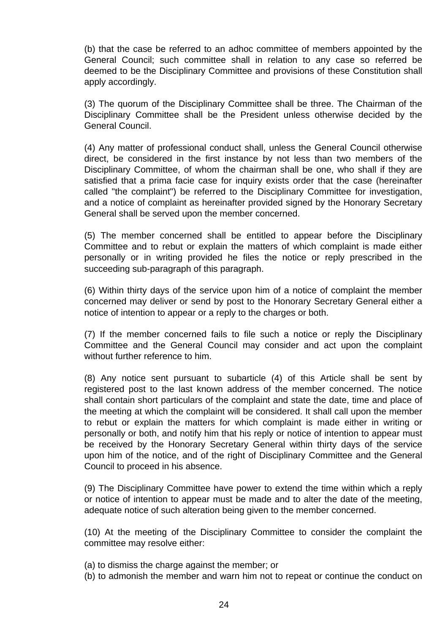(b) that the case be referred to an adhoc committee of members appointed by the General Council; such committee shall in relation to any case so referred be deemed to be the Disciplinary Committee and provisions of these Constitution shall apply accordingly.

(3) The quorum of the Disciplinary Committee shall be three. The Chairman of the Disciplinary Committee shall be the President unless otherwise decided by the General Council.

(4) Any matter of professional conduct shall, unless the General Council otherwise direct, be considered in the first instance by not less than two members of the Disciplinary Committee, of whom the chairman shall be one, who shall if they are satisfied that a prima facie case for inquiry exists order that the case (hereinafter called "the complaint") be referred to the Disciplinary Committee for investigation, and a notice of complaint as hereinafter provided signed by the Honorary Secretary General shall be served upon the member concerned.

(5) The member concerned shall be entitled to appear before the Disciplinary Committee and to rebut or explain the matters of which complaint is made either personally or in writing provided he files the notice or reply prescribed in the succeeding sub-paragraph of this paragraph.

(6) Within thirty days of the service upon him of a notice of complaint the member concerned may deliver or send by post to the Honorary Secretary General either a notice of intention to appear or a reply to the charges or both.

(7) If the member concerned fails to file such a notice or reply the Disciplinary Committee and the General Council may consider and act upon the complaint without further reference to him.

(8) Any notice sent pursuant to subarticle (4) of this Article shall be sent by registered post to the last known address of the member concerned. The notice shall contain short particulars of the complaint and state the date, time and place of the meeting at which the complaint will be considered. It shall call upon the member to rebut or explain the matters for which complaint is made either in writing or personally or both, and notify him that his reply or notice of intention to appear must be received by the Honorary Secretary General within thirty days of the service upon him of the notice, and of the right of Disciplinary Committee and the General Council to proceed in his absence.

(9) The Disciplinary Committee have power to extend the time within which a reply or notice of intention to appear must be made and to alter the date of the meeting, adequate notice of such alteration being given to the member concerned.

(10) At the meeting of the Disciplinary Committee to consider the complaint the committee may resolve either:

- (a) to dismiss the charge against the member; or
- (b) to admonish the member and warn him not to repeat or continue the conduct on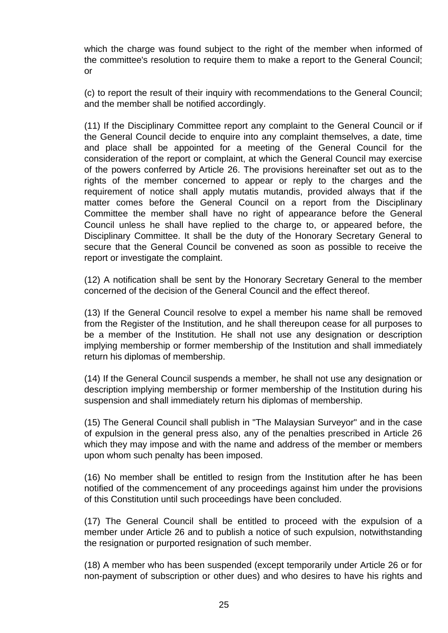which the charge was found subject to the right of the member when informed of the committee's resolution to require them to make a report to the General Council; or

(c) to report the result of their inquiry with recommendations to the General Council; and the member shall be notified accordingly.

(11) If the Disciplinary Committee report any complaint to the General Council or if the General Council decide to enquire into any complaint themselves, a date, time and place shall be appointed for a meeting of the General Council for the consideration of the report or complaint, at which the General Council may exercise of the powers conferred by Article 26. The provisions hereinafter set out as to the rights of the member concerned to appear or reply to the charges and the requirement of notice shall apply mutatis mutandis, provided always that if the matter comes before the General Council on a report from the Disciplinary Committee the member shall have no right of appearance before the General Council unless he shall have replied to the charge to, or appeared before, the Disciplinary Committee. It shall be the duty of the Honorary Secretary General to secure that the General Council be convened as soon as possible to receive the report or investigate the complaint.

(12) A notification shall be sent by the Honorary Secretary General to the member concerned of the decision of the General Council and the effect thereof.

(13) If the General Council resolve to expel a member his name shall be removed from the Register of the Institution, and he shall thereupon cease for all purposes to be a member of the Institution. He shall not use any designation or description implying membership or former membership of the Institution and shall immediately return his diplomas of membership.

(14) If the General Council suspends a member, he shall not use any designation or description implying membership or former membership of the Institution during his suspension and shall immediately return his diplomas of membership.

(15) The General Council shall publish in "The Malaysian Surveyor" and in the case of expulsion in the general press also, any of the penalties prescribed in Article 26 which they may impose and with the name and address of the member or members upon whom such penalty has been imposed.

(16) No member shall be entitled to resign from the Institution after he has been notified of the commencement of any proceedings against him under the provisions of this Constitution until such proceedings have been concluded.

(17) The General Council shall be entitled to proceed with the expulsion of a member under Article 26 and to publish a notice of such expulsion, notwithstanding the resignation or purported resignation of such member.

(18) A member who has been suspended (except temporarily under Article 26 or for non-payment of subscription or other dues) and who desires to have his rights and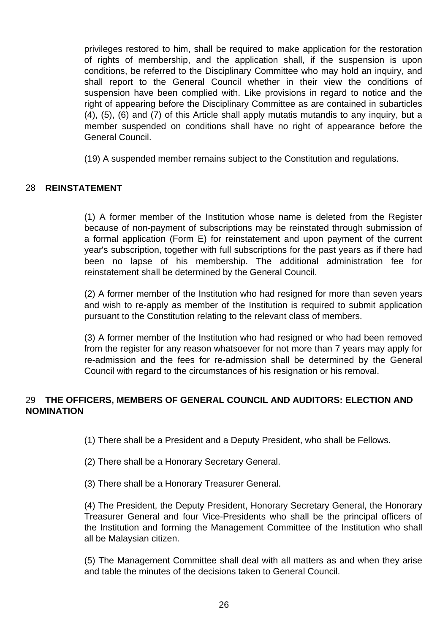privileges restored to him, shall be required to make application for the restoration of rights of membership, and the application shall, if the suspension is upon conditions, be referred to the Disciplinary Committee who may hold an inquiry, and shall report to the General Council whether in their view the conditions of suspension have been complied with. Like provisions in regard to notice and the right of appearing before the Disciplinary Committee as are contained in subarticles (4), (5), (6) and (7) of this Article shall apply mutatis mutandis to any inquiry, but a member suspended on conditions shall have no right of appearance before the General Council.

(19) A suspended member remains subject to the Constitution and regulations.

#### 28 **REINSTATEMENT**

(1) A former member of the Institution whose name is deleted from the Register because of non-payment of subscriptions may be reinstated through submission of a formal application (Form E) for reinstatement and upon payment of the current year's subscription, together with full subscriptions for the past years as if there had been no lapse of his membership. The additional administration fee for reinstatement shall be determined by the General Council.

(2) A former member of the Institution who had resigned for more than seven years and wish to re-apply as member of the Institution is required to submit application pursuant to the Constitution relating to the relevant class of members.

(3) A former member of the Institution who had resigned or who had been removed from the register for any reason whatsoever for not more than 7 years may apply for re-admission and the fees for re-admission shall be determined by the General Council with regard to the circumstances of his resignation or his removal.

#### 29 **THE OFFICERS, MEMBERS OF GENERAL COUNCIL AND AUDITORS: ELECTION AND NOMINATION**

(1) There shall be a President and a Deputy President, who shall be Fellows.

- (2) There shall be a Honorary Secretary General.
- (3) There shall be a Honorary Treasurer General.

(4) The President, the Deputy President, Honorary Secretary General, the Honorary Treasurer General and four Vice-Presidents who shall be the principal officers of the Institution and forming the Management Committee of the Institution who shall all be Malaysian citizen.

(5) The Management Committee shall deal with all matters as and when they arise and table the minutes of the decisions taken to General Council.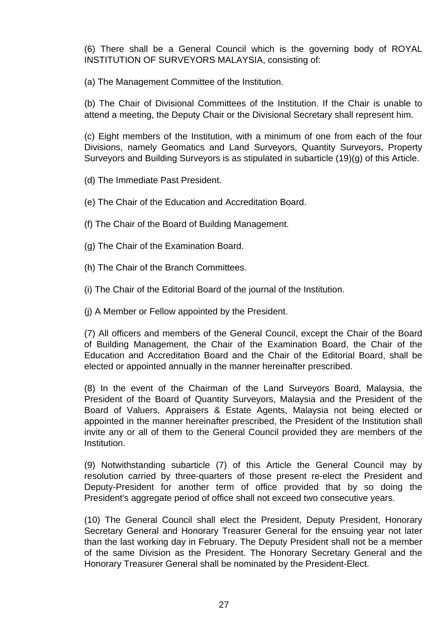(6) There shall be a General Council which is the governing body of ROYAL INSTITUTION OF SURVEYORS MALAYSIA, consisting of:

(a) The Management Committee of the Institution.

(b) The Chair of Divisional Committees of the Institution. If the Chair is unable to attend a meeting, the Deputy Chair or the Divisional Secretary shall represent him.

(c) Eight members of the Institution, with a minimum of one from each of the four Divisions, namely Geomatics and Land Surveyors, Quantity Surveyors, Property Surveyors and Building Surveyors is as stipulated in subarticle (19)(g) of this Article.

(d) The Immediate Past President.

(e) The Chair of the Education and Accreditation Board.

(f) The Chair of the Board of Building Management.

(g) The Chair of the Examination Board.

(h) The Chair of the Branch Committees.

(i) The Chair of the Editorial Board of the journal of the Institution.

(j) A Member or Fellow appointed by the President.

(7) All officers and members of the General Council, except the Chair of the Board of Building Management, the Chair of the Examination Board, the Chair of the Education and Accreditation Board and the Chair of the Editorial Board, shall be elected or appointed annually in the manner hereinafter prescribed.

(8) In the event of the Chairman of the Land Surveyors Board, Malaysia, the President of the Board of Quantity Surveyors, Malaysia and the President of the Board of Valuers, Appraisers & Estate Agents, Malaysia not being elected or appointed in the manner hereinafter prescribed, the President of the Institution shall invite any or all of them to the General Council provided they are members of the Institution.

(9) Notwithstanding subarticle (7) of this Article the General Council may by resolution carried by three-quarters of those present re-elect the President and Deputy-President for another term of office provided that by so doing the President's aggregate period of office shall not exceed two consecutive years.

(10) The General Council shall elect the President, Deputy President, Honorary Secretary General and Honorary Treasurer General for the ensuing year not later than the last working day in February. The Deputy President shall not be a member of the same Division as the President. The Honorary Secretary General and the Honorary Treasurer General shall be nominated by the President-Elect.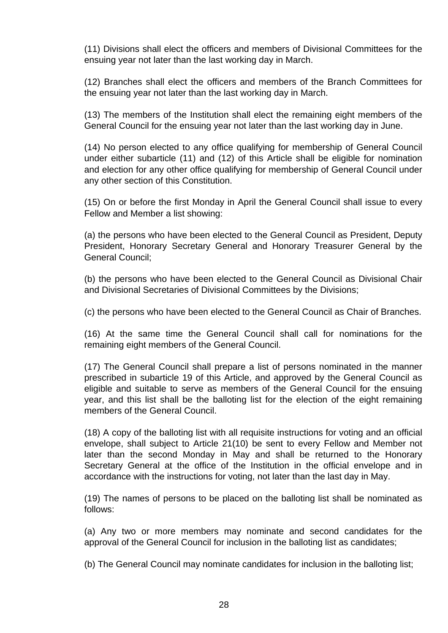(11) Divisions shall elect the officers and members of Divisional Committees for the ensuing year not later than the last working day in March.

(12) Branches shall elect the officers and members of the Branch Committees for the ensuing year not later than the last working day in March.

(13) The members of the Institution shall elect the remaining eight members of the General Council for the ensuing year not later than the last working day in June.

(14) No person elected to any office qualifying for membership of General Council under either subarticle (11) and (12) of this Article shall be eligible for nomination and election for any other office qualifying for membership of General Council under any other section of this Constitution.

(15) On or before the first Monday in April the General Council shall issue to every Fellow and Member a list showing:

(a) the persons who have been elected to the General Council as President, Deputy President, Honorary Secretary General and Honorary Treasurer General by the General Council;

(b) the persons who have been elected to the General Council as Divisional Chair and Divisional Secretaries of Divisional Committees by the Divisions;

(c) the persons who have been elected to the General Council as Chair of Branches.

(16) At the same time the General Council shall call for nominations for the remaining eight members of the General Council.

(17) The General Council shall prepare a list of persons nominated in the manner prescribed in subarticle 19 of this Article, and approved by the General Council as eligible and suitable to serve as members of the General Council for the ensuing year, and this list shall be the balloting list for the election of the eight remaining members of the General Council.

(18) A copy of the balloting list with all requisite instructions for voting and an official envelope, shall subject to Article 21(10) be sent to every Fellow and Member not later than the second Monday in May and shall be returned to the Honorary Secretary General at the office of the Institution in the official envelope and in accordance with the instructions for voting, not later than the last day in May.

(19) The names of persons to be placed on the balloting list shall be nominated as follows:

(a) Any two or more members may nominate and second candidates for the approval of the General Council for inclusion in the balloting list as candidates;

(b) The General Council may nominate candidates for inclusion in the balloting list;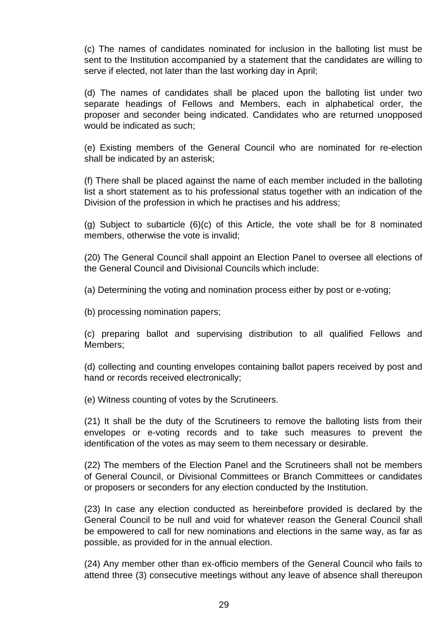(c) The names of candidates nominated for inclusion in the balloting list must be sent to the Institution accompanied by a statement that the candidates are willing to serve if elected, not later than the last working day in April;

(d) The names of candidates shall be placed upon the balloting list under two separate headings of Fellows and Members, each in alphabetical order, the proposer and seconder being indicated. Candidates who are returned unopposed would be indicated as such;

(e) Existing members of the General Council who are nominated for re-election shall be indicated by an asterisk;

(f) There shall be placed against the name of each member included in the balloting list a short statement as to his professional status together with an indication of the Division of the profession in which he practises and his address;

(g) Subject to subarticle (6)(c) of this Article, the vote shall be for 8 nominated members, otherwise the vote is invalid;

(20) The General Council shall appoint an Election Panel to oversee all elections of the General Council and Divisional Councils which include:

(a) Determining the voting and nomination process either by post or e-voting;

(b) processing nomination papers;

(c) preparing ballot and supervising distribution to all qualified Fellows and Members;

(d) collecting and counting envelopes containing ballot papers received by post and hand or records received electronically;

(e) Witness counting of votes by the Scrutineers.

(21) It shall be the duty of the Scrutineers to remove the balloting lists from their envelopes or e-voting records and to take such measures to prevent the identification of the votes as may seem to them necessary or desirable.

(22) The members of the Election Panel and the Scrutineers shall not be members of General Council, or Divisional Committees or Branch Committees or candidates or proposers or seconders for any election conducted by the Institution.

(23) In case any election conducted as hereinbefore provided is declared by the General Council to be null and void for whatever reason the General Council shall be empowered to call for new nominations and elections in the same way, as far as possible, as provided for in the annual election.

(24) Any member other than ex-officio members of the General Council who fails to attend three (3) consecutive meetings without any leave of absence shall thereupon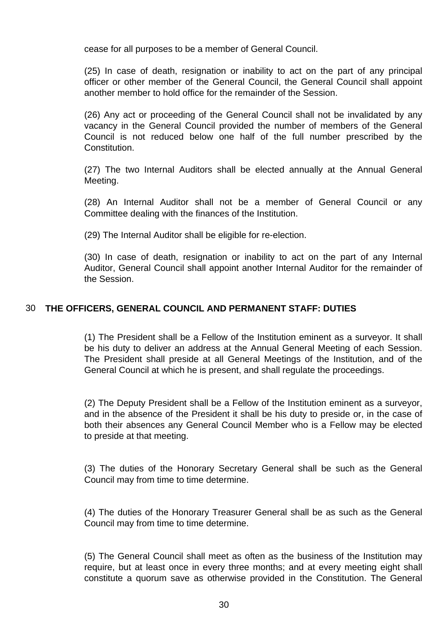cease for all purposes to be a member of General Council.

(25) In case of death, resignation or inability to act on the part of any principal officer or other member of the General Council, the General Council shall appoint another member to hold office for the remainder of the Session.

(26) Any act or proceeding of the General Council shall not be invalidated by any vacancy in the General Council provided the number of members of the General Council is not reduced below one half of the full number prescribed by the Constitution.

(27) The two Internal Auditors shall be elected annually at the Annual General Meeting.

(28) An Internal Auditor shall not be a member of General Council or any Committee dealing with the finances of the Institution.

(29) The Internal Auditor shall be eligible for re-election.

(30) In case of death, resignation or inability to act on the part of any Internal Auditor, General Council shall appoint another Internal Auditor for the remainder of the Session.

#### 30 **THE OFFICERS, GENERAL COUNCIL AND PERMANENT STAFF: DUTIES**

(1) The President shall be a Fellow of the Institution eminent as a surveyor. It shall be his duty to deliver an address at the Annual General Meeting of each Session. The President shall preside at all General Meetings of the Institution, and of the General Council at which he is present, and shall regulate the proceedings.

(2) The Deputy President shall be a Fellow of the Institution eminent as a surveyor, and in the absence of the President it shall be his duty to preside or, in the case of both their absences any General Council Member who is a Fellow may be elected to preside at that meeting.

(3) The duties of the Honorary Secretary General shall be such as the General Council may from time to time determine.

(4) The duties of the Honorary Treasurer General shall be as such as the General Council may from time to time determine.

(5) The General Council shall meet as often as the business of the Institution may require, but at least once in every three months; and at every meeting eight shall constitute a quorum save as otherwise provided in the Constitution. The General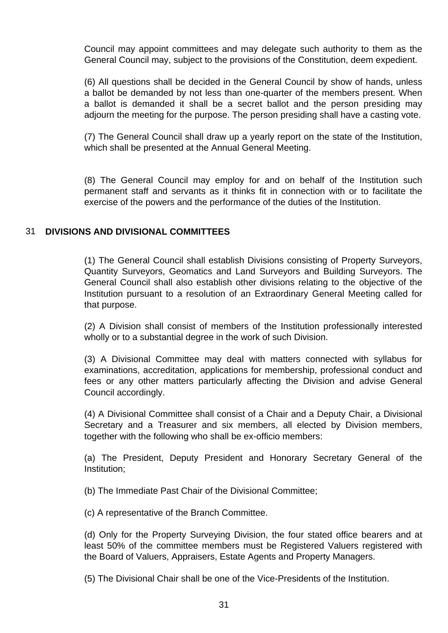Council may appoint committees and may delegate such authority to them as the General Council may, subject to the provisions of the Constitution, deem expedient.

(6) All questions shall be decided in the General Council by show of hands, unless a ballot be demanded by not less than one-quarter of the members present. When a ballot is demanded it shall be a secret ballot and the person presiding may adjourn the meeting for the purpose. The person presiding shall have a casting vote.

(7) The General Council shall draw up a yearly report on the state of the Institution, which shall be presented at the Annual General Meeting.

(8) The General Council may employ for and on behalf of the Institution such permanent staff and servants as it thinks fit in connection with or to facilitate the exercise of the powers and the performance of the duties of the Institution.

#### 31 **DIVISIONS AND DIVISIONAL COMMITTEES**

(1) The General Council shall establish Divisions consisting of Property Surveyors, Quantity Surveyors, Geomatics and Land Surveyors and Building Surveyors. The General Council shall also establish other divisions relating to the objective of the Institution pursuant to a resolution of an Extraordinary General Meeting called for that purpose.

(2) A Division shall consist of members of the Institution professionally interested wholly or to a substantial degree in the work of such Division.

(3) A Divisional Committee may deal with matters connected with syllabus for examinations, accreditation, applications for membership, professional conduct and fees or any other matters particularly affecting the Division and advise General Council accordingly.

(4) A Divisional Committee shall consist of a Chair and a Deputy Chair, a Divisional Secretary and a Treasurer and six members, all elected by Division members, together with the following who shall be ex-officio members:

(a) The President, Deputy President and Honorary Secretary General of the Institution;

(b) The Immediate Past Chair of the Divisional Committee;

(c) A representative of the Branch Committee.

(d) Only for the Property Surveying Division, the four stated office bearers and at least 50% of the committee members must be Registered Valuers registered with the Board of Valuers, Appraisers, Estate Agents and Property Managers.

(5) The Divisional Chair shall be one of the Vice-Presidents of the Institution.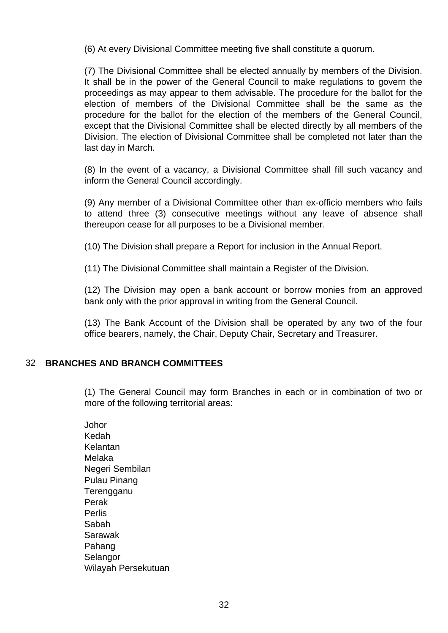(6) At every Divisional Committee meeting five shall constitute a quorum.

(7) The Divisional Committee shall be elected annually by members of the Division. It shall be in the power of the General Council to make regulations to govern the proceedings as may appear to them advisable. The procedure for the ballot for the election of members of the Divisional Committee shall be the same as the procedure for the ballot for the election of the members of the General Council, except that the Divisional Committee shall be elected directly by all members of the Division. The election of Divisional Committee shall be completed not later than the last day in March.

(8) In the event of a vacancy, a Divisional Committee shall fill such vacancy and inform the General Council accordingly.

(9) Any member of a Divisional Committee other than ex-officio members who fails to attend three (3) consecutive meetings without any leave of absence shall thereupon cease for all purposes to be a Divisional member.

(10) The Division shall prepare a Report for inclusion in the Annual Report.

(11) The Divisional Committee shall maintain a Register of the Division.

(12) The Division may open a bank account or borrow monies from an approved bank only with the prior approval in writing from the General Council.

(13) The Bank Account of the Division shall be operated by any two of the four office bearers, namely, the Chair, Deputy Chair, Secretary and Treasurer.

#### 32 **BRANCHES AND BRANCH COMMITTEES**

(1) The General Council may form Branches in each or in combination of two or more of the following territorial areas:

Johor Kedah Kelantan Melaka Negeri Sembilan Pulau Pinang **Terengganu** Perak Perlis Sabah Sarawak Pahang **Selangor** Wilayah Persekutuan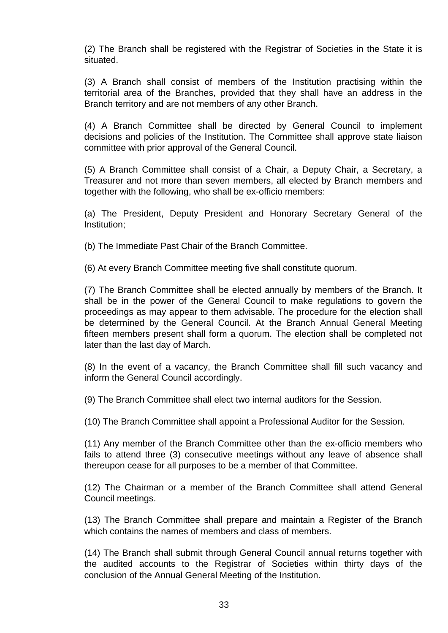(2) The Branch shall be registered with the Registrar of Societies in the State it is situated.

(3) A Branch shall consist of members of the Institution practising within the territorial area of the Branches, provided that they shall have an address in the Branch territory and are not members of any other Branch.

(4) A Branch Committee shall be directed by General Council to implement decisions and policies of the Institution. The Committee shall approve state liaison committee with prior approval of the General Council.

(5) A Branch Committee shall consist of a Chair, a Deputy Chair, a Secretary, a Treasurer and not more than seven members, all elected by Branch members and together with the following, who shall be ex-officio members:

(a) The President, Deputy President and Honorary Secretary General of the Institution;

(b) The Immediate Past Chair of the Branch Committee.

(6) At every Branch Committee meeting five shall constitute quorum.

(7) The Branch Committee shall be elected annually by members of the Branch. It shall be in the power of the General Council to make regulations to govern the proceedings as may appear to them advisable. The procedure for the election shall be determined by the General Council. At the Branch Annual General Meeting fifteen members present shall form a quorum. The election shall be completed not later than the last day of March.

(8) In the event of a vacancy, the Branch Committee shall fill such vacancy and inform the General Council accordingly.

(9) The Branch Committee shall elect two internal auditors for the Session.

(10) The Branch Committee shall appoint a Professional Auditor for the Session.

(11) Any member of the Branch Committee other than the ex-officio members who fails to attend three (3) consecutive meetings without any leave of absence shall thereupon cease for all purposes to be a member of that Committee.

(12) The Chairman or a member of the Branch Committee shall attend General Council meetings.

(13) The Branch Committee shall prepare and maintain a Register of the Branch which contains the names of members and class of members.

(14) The Branch shall submit through General Council annual returns together with the audited accounts to the Registrar of Societies within thirty days of the conclusion of the Annual General Meeting of the Institution.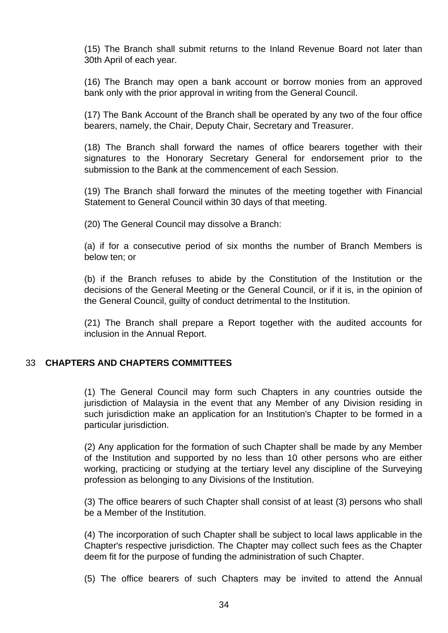(15) The Branch shall submit returns to the Inland Revenue Board not later than 30th April of each year.

(16) The Branch may open a bank account or borrow monies from an approved bank only with the prior approval in writing from the General Council.

(17) The Bank Account of the Branch shall be operated by any two of the four office bearers, namely, the Chair, Deputy Chair, Secretary and Treasurer.

(18) The Branch shall forward the names of office bearers together with their signatures to the Honorary Secretary General for endorsement prior to the submission to the Bank at the commencement of each Session.

(19) The Branch shall forward the minutes of the meeting together with Financial Statement to General Council within 30 days of that meeting.

(20) The General Council may dissolve a Branch:

(a) if for a consecutive period of six months the number of Branch Members is below ten; or

(b) if the Branch refuses to abide by the Constitution of the Institution or the decisions of the General Meeting or the General Council, or if it is, in the opinion of the General Council, guilty of conduct detrimental to the Institution.

(21) The Branch shall prepare a Report together with the audited accounts for inclusion in the Annual Report.

#### 33 **CHAPTERS AND CHAPTERS COMMITTEES**

(1) The General Council may form such Chapters in any countries outside the jurisdiction of Malaysia in the event that any Member of any Division residing in such jurisdiction make an application for an Institution's Chapter to be formed in a particular jurisdiction.

(2) Any application for the formation of such Chapter shall be made by any Member of the Institution and supported by no less than 10 other persons who are either working, practicing or studying at the tertiary level any discipline of the Surveying profession as belonging to any Divisions of the Institution.

(3) The office bearers of such Chapter shall consist of at least (3) persons who shall be a Member of the Institution.

(4) The incorporation of such Chapter shall be subject to local laws applicable in the Chapter's respective jurisdiction. The Chapter may collect such fees as the Chapter deem fit for the purpose of funding the administration of such Chapter.

(5) The office bearers of such Chapters may be invited to attend the Annual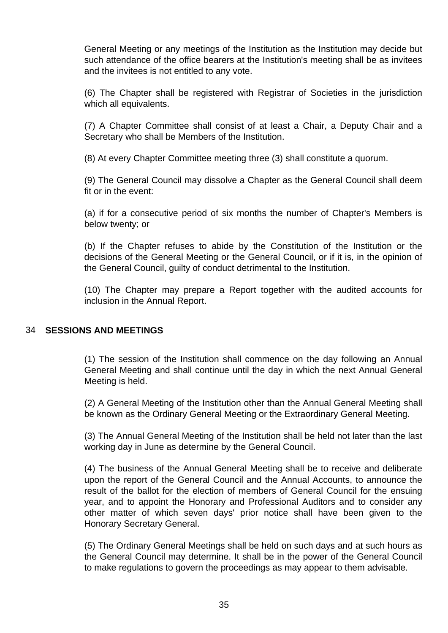General Meeting or any meetings of the Institution as the Institution may decide but such attendance of the office bearers at the Institution's meeting shall be as invitees and the invitees is not entitled to any vote.

(6) The Chapter shall be registered with Registrar of Societies in the jurisdiction which all equivalents.

(7) A Chapter Committee shall consist of at least a Chair, a Deputy Chair and a Secretary who shall be Members of the Institution.

(8) At every Chapter Committee meeting three (3) shall constitute a quorum.

(9) The General Council may dissolve a Chapter as the General Council shall deem fit or in the event:

(a) if for a consecutive period of six months the number of Chapter's Members is below twenty; or

(b) If the Chapter refuses to abide by the Constitution of the Institution or the decisions of the General Meeting or the General Council, or if it is, in the opinion of the General Council, guilty of conduct detrimental to the Institution.

(10) The Chapter may prepare a Report together with the audited accounts for inclusion in the Annual Report.

#### 34 **SESSIONS AND MEETINGS**

(1) The session of the Institution shall commence on the day following an Annual General Meeting and shall continue until the day in which the next Annual General Meeting is held.

(2) A General Meeting of the Institution other than the Annual General Meeting shall be known as the Ordinary General Meeting or the Extraordinary General Meeting.

(3) The Annual General Meeting of the Institution shall be held not later than the last working day in June as determine by the General Council.

(4) The business of the Annual General Meeting shall be to receive and deliberate upon the report of the General Council and the Annual Accounts, to announce the result of the ballot for the election of members of General Council for the ensuing year, and to appoint the Honorary and Professional Auditors and to consider any other matter of which seven days' prior notice shall have been given to the Honorary Secretary General.

(5) The Ordinary General Meetings shall be held on such days and at such hours as the General Council may determine. It shall be in the power of the General Council to make regulations to govern the proceedings as may appear to them advisable.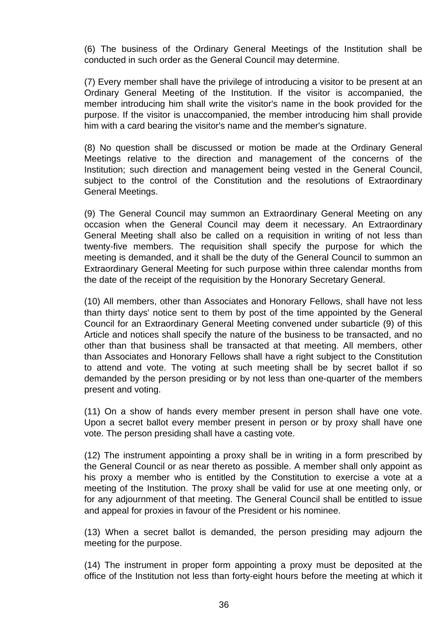(6) The business of the Ordinary General Meetings of the Institution shall be conducted in such order as the General Council may determine.

(7) Every member shall have the privilege of introducing a visitor to be present at an Ordinary General Meeting of the Institution. If the visitor is accompanied, the member introducing him shall write the visitor's name in the book provided for the purpose. If the visitor is unaccompanied, the member introducing him shall provide him with a card bearing the visitor's name and the member's signature.

(8) No question shall be discussed or motion be made at the Ordinary General Meetings relative to the direction and management of the concerns of the Institution; such direction and management being vested in the General Council, subject to the control of the Constitution and the resolutions of Extraordinary General Meetings.

(9) The General Council may summon an Extraordinary General Meeting on any occasion when the General Council may deem it necessary. An Extraordinary General Meeting shall also be called on a requisition in writing of not less than twenty-five members. The requisition shall specify the purpose for which the meeting is demanded, and it shall be the duty of the General Council to summon an Extraordinary General Meeting for such purpose within three calendar months from the date of the receipt of the requisition by the Honorary Secretary General.

(10) All members, other than Associates and Honorary Fellows, shall have not less than thirty days' notice sent to them by post of the time appointed by the General Council for an Extraordinary General Meeting convened under subarticle (9) of this Article and notices shall specify the nature of the business to be transacted, and no other than that business shall be transacted at that meeting. All members, other than Associates and Honorary Fellows shall have a right subject to the Constitution to attend and vote. The voting at such meeting shall be by secret ballot if so demanded by the person presiding or by not less than one-quarter of the members present and voting.

(11) On a show of hands every member present in person shall have one vote. Upon a secret ballot every member present in person or by proxy shall have one vote. The person presiding shall have a casting vote.

(12) The instrument appointing a proxy shall be in writing in a form prescribed by the General Council or as near thereto as possible. A member shall only appoint as his proxy a member who is entitled by the Constitution to exercise a vote at a meeting of the Institution. The proxy shall be valid for use at one meeting only, or for any adjournment of that meeting. The General Council shall be entitled to issue and appeal for proxies in favour of the President or his nominee.

(13) When a secret ballot is demanded, the person presiding may adjourn the meeting for the purpose.

(14) The instrument in proper form appointing a proxy must be deposited at the office of the Institution not less than forty-eight hours before the meeting at which it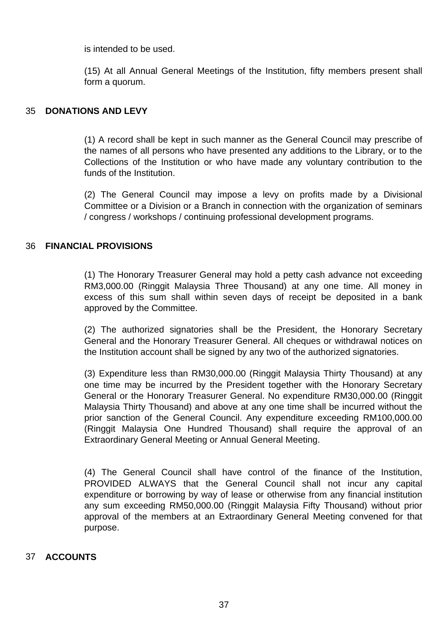is intended to be used.

(15) At all Annual General Meetings of the Institution, fifty members present shall form a quorum.

#### 35 **DONATIONS AND LEVY**

(1) A record shall be kept in such manner as the General Council may prescribe of the names of all persons who have presented any additions to the Library, or to the Collections of the Institution or who have made any voluntary contribution to the funds of the Institution.

(2) The General Council may impose a levy on profits made by a Divisional Committee or a Division or a Branch in connection with the organization of seminars / congress / workshops / continuing professional development programs.

#### 36 **FINANCIAL PROVISIONS**

(1) The Honorary Treasurer General may hold a petty cash advance not exceeding RM3,000.00 (Ringgit Malaysia Three Thousand) at any one time. All money in excess of this sum shall within seven days of receipt be deposited in a bank approved by the Committee.

(2) The authorized signatories shall be the President, the Honorary Secretary General and the Honorary Treasurer General. All cheques or withdrawal notices on the Institution account shall be signed by any two of the authorized signatories.

(3) Expenditure less than RM30,000.00 (Ringgit Malaysia Thirty Thousand) at any one time may be incurred by the President together with the Honorary Secretary General or the Honorary Treasurer General. No expenditure RM30,000.00 (Ringgit Malaysia Thirty Thousand) and above at any one time shall be incurred without the prior sanction of the General Council. Any expenditure exceeding RM100,000.00 (Ringgit Malaysia One Hundred Thousand) shall require the approval of an Extraordinary General Meeting or Annual General Meeting.

(4) The General Council shall have control of the finance of the Institution, PROVIDED ALWAYS that the General Council shall not incur any capital expenditure or borrowing by way of lease or otherwise from any financial institution any sum exceeding RM50,000.00 (Ringgit Malaysia Fifty Thousand) without prior approval of the members at an Extraordinary General Meeting convened for that purpose.

#### 37 **ACCOUNTS**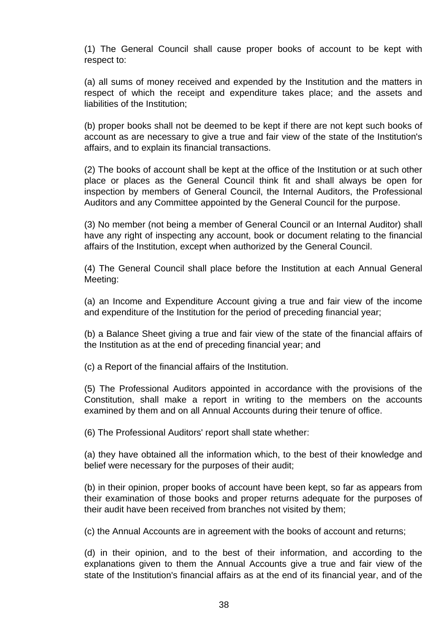(1) The General Council shall cause proper books of account to be kept with respect to:

(a) all sums of money received and expended by the Institution and the matters in respect of which the receipt and expenditure takes place; and the assets and liabilities of the Institution;

(b) proper books shall not be deemed to be kept if there are not kept such books of account as are necessary to give a true and fair view of the state of the Institution's affairs, and to explain its financial transactions.

(2) The books of account shall be kept at the office of the Institution or at such other place or places as the General Council think fit and shall always be open for inspection by members of General Council, the Internal Auditors, the Professional Auditors and any Committee appointed by the General Council for the purpose.

(3) No member (not being a member of General Council or an Internal Auditor) shall have any right of inspecting any account, book or document relating to the financial affairs of the Institution, except when authorized by the General Council.

(4) The General Council shall place before the Institution at each Annual General Meeting:

(a) an Income and Expenditure Account giving a true and fair view of the income and expenditure of the Institution for the period of preceding financial year;

(b) a Balance Sheet giving a true and fair view of the state of the financial affairs of the Institution as at the end of preceding financial year; and

(c) a Report of the financial affairs of the Institution.

(5) The Professional Auditors appointed in accordance with the provisions of the Constitution, shall make a report in writing to the members on the accounts examined by them and on all Annual Accounts during their tenure of office.

(6) The Professional Auditors' report shall state whether:

(a) they have obtained all the information which, to the best of their knowledge and belief were necessary for the purposes of their audit;

(b) in their opinion, proper books of account have been kept, so far as appears from their examination of those books and proper returns adequate for the purposes of their audit have been received from branches not visited by them;

(c) the Annual Accounts are in agreement with the books of account and returns;

(d) in their opinion, and to the best of their information, and according to the explanations given to them the Annual Accounts give a true and fair view of the state of the Institution's financial affairs as at the end of its financial year, and of the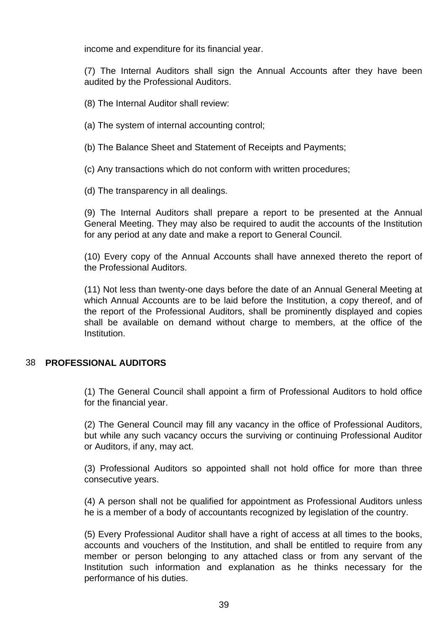income and expenditure for its financial year.

(7) The Internal Auditors shall sign the Annual Accounts after they have been audited by the Professional Auditors.

(8) The Internal Auditor shall review:

(a) The system of internal accounting control;

(b) The Balance Sheet and Statement of Receipts and Payments;

(c) Any transactions which do not conform with written procedures;

(d) The transparency in all dealings.

(9) The Internal Auditors shall prepare a report to be presented at the Annual General Meeting. They may also be required to audit the accounts of the Institution for any period at any date and make a report to General Council.

(10) Every copy of the Annual Accounts shall have annexed thereto the report of the Professional Auditors.

(11) Not less than twenty-one days before the date of an Annual General Meeting at which Annual Accounts are to be laid before the Institution, a copy thereof, and of the report of the Professional Auditors, shall be prominently displayed and copies shall be available on demand without charge to members, at the office of the Institution.

#### 38 **PROFESSIONAL AUDITORS**

(1) The General Council shall appoint a firm of Professional Auditors to hold office for the financial year.

(2) The General Council may fill any vacancy in the office of Professional Auditors, but while any such vacancy occurs the surviving or continuing Professional Auditor or Auditors, if any, may act.

(3) Professional Auditors so appointed shall not hold office for more than three consecutive years.

(4) A person shall not be qualified for appointment as Professional Auditors unless he is a member of a body of accountants recognized by legislation of the country.

(5) Every Professional Auditor shall have a right of access at all times to the books, accounts and vouchers of the Institution, and shall be entitled to require from any member or person belonging to any attached class or from any servant of the Institution such information and explanation as he thinks necessary for the performance of his duties.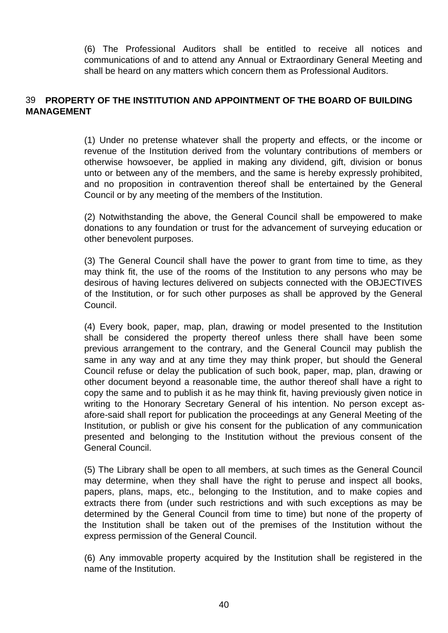(6) The Professional Auditors shall be entitled to receive all notices and communications of and to attend any Annual or Extraordinary General Meeting and shall be heard on any matters which concern them as Professional Auditors.

#### 39 **PROPERTY OF THE INSTITUTION AND APPOINTMENT OF THE BOARD OF BUILDING MANAGEMENT**

(1) Under no pretense whatever shall the property and effects, or the income or revenue of the Institution derived from the voluntary contributions of members or otherwise howsoever, be applied in making any dividend, gift, division or bonus unto or between any of the members, and the same is hereby expressly prohibited, and no proposition in contravention thereof shall be entertained by the General Council or by any meeting of the members of the Institution.

(2) Notwithstanding the above, the General Council shall be empowered to make donations to any foundation or trust for the advancement of surveying education or other benevolent purposes.

(3) The General Council shall have the power to grant from time to time, as they may think fit, the use of the rooms of the Institution to any persons who may be desirous of having lectures delivered on subjects connected with the OBJECTIVES of the Institution, or for such other purposes as shall be approved by the General Council.

(4) Every book, paper, map, plan, drawing or model presented to the Institution shall be considered the property thereof unless there shall have been some previous arrangement to the contrary, and the General Council may publish the same in any way and at any time they may think proper, but should the General Council refuse or delay the publication of such book, paper, map, plan, drawing or other document beyond a reasonable time, the author thereof shall have a right to copy the same and to publish it as he may think fit, having previously given notice in writing to the Honorary Secretary General of his intention. No person except asafore-said shall report for publication the proceedings at any General Meeting of the Institution, or publish or give his consent for the publication of any communication presented and belonging to the Institution without the previous consent of the General Council.

(5) The Library shall be open to all members, at such times as the General Council may determine, when they shall have the right to peruse and inspect all books, papers, plans, maps, etc., belonging to the Institution, and to make copies and extracts there from (under such restrictions and with such exceptions as may be determined by the General Council from time to time) but none of the property of the Institution shall be taken out of the premises of the Institution without the express permission of the General Council.

(6) Any immovable property acquired by the Institution shall be registered in the name of the Institution.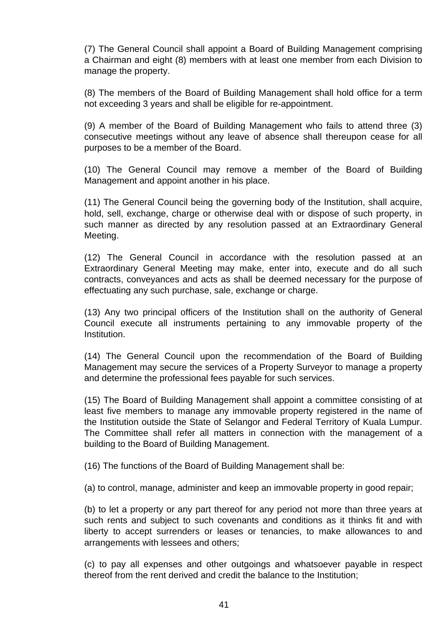(7) The General Council shall appoint a Board of Building Management comprising a Chairman and eight (8) members with at least one member from each Division to manage the property.

(8) The members of the Board of Building Management shall hold office for a term not exceeding 3 years and shall be eligible for re-appointment.

(9) A member of the Board of Building Management who fails to attend three (3) consecutive meetings without any leave of absence shall thereupon cease for all purposes to be a member of the Board.

(10) The General Council may remove a member of the Board of Building Management and appoint another in his place.

(11) The General Council being the governing body of the Institution, shall acquire, hold, sell, exchange, charge or otherwise deal with or dispose of such property, in such manner as directed by any resolution passed at an Extraordinary General Meeting.

(12) The General Council in accordance with the resolution passed at an Extraordinary General Meeting may make, enter into, execute and do all such contracts, conveyances and acts as shall be deemed necessary for the purpose of effectuating any such purchase, sale, exchange or charge.

(13) Any two principal officers of the Institution shall on the authority of General Council execute all instruments pertaining to any immovable property of the Institution.

(14) The General Council upon the recommendation of the Board of Building Management may secure the services of a Property Surveyor to manage a property and determine the professional fees payable for such services.

(15) The Board of Building Management shall appoint a committee consisting of at least five members to manage any immovable property registered in the name of the Institution outside the State of Selangor and Federal Territory of Kuala Lumpur. The Committee shall refer all matters in connection with the management of a building to the Board of Building Management.

(16) The functions of the Board of Building Management shall be:

(a) to control, manage, administer and keep an immovable property in good repair;

(b) to let a property or any part thereof for any period not more than three years at such rents and subject to such covenants and conditions as it thinks fit and with liberty to accept surrenders or leases or tenancies, to make allowances to and arrangements with lessees and others;

(c) to pay all expenses and other outgoings and whatsoever payable in respect thereof from the rent derived and credit the balance to the Institution;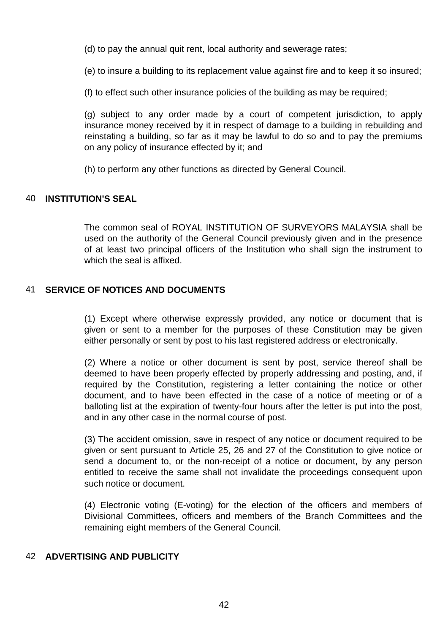(d) to pay the annual quit rent, local authority and sewerage rates;

(e) to insure a building to its replacement value against fire and to keep it so insured;

(f) to effect such other insurance policies of the building as may be required;

(g) subject to any order made by a court of competent jurisdiction, to apply insurance money received by it in respect of damage to a building in rebuilding and reinstating a building, so far as it may be lawful to do so and to pay the premiums on any policy of insurance effected by it; and

(h) to perform any other functions as directed by General Council.

#### 40 **INSTITUTION'S SEAL**

The common seal of ROYAL INSTITUTION OF SURVEYORS MALAYSIA shall be used on the authority of the General Council previously given and in the presence of at least two principal officers of the Institution who shall sign the instrument to which the seal is affixed.

#### 41 **SERVICE OF NOTICES AND DOCUMENTS**

(1) Except where otherwise expressly provided, any notice or document that is given or sent to a member for the purposes of these Constitution may be given either personally or sent by post to his last registered address or electronically.

(2) Where a notice or other document is sent by post, service thereof shall be deemed to have been properly effected by properly addressing and posting, and, if required by the Constitution, registering a letter containing the notice or other document, and to have been effected in the case of a notice of meeting or of a balloting list at the expiration of twenty-four hours after the letter is put into the post, and in any other case in the normal course of post.

(3) The accident omission, save in respect of any notice or document required to be given or sent pursuant to Article 25, 26 and 27 of the Constitution to give notice or send a document to, or the non-receipt of a notice or document, by any person entitled to receive the same shall not invalidate the proceedings consequent upon such notice or document.

(4) Electronic voting (E-voting) for the election of the officers and members of Divisional Committees, officers and members of the Branch Committees and the remaining eight members of the General Council.

#### 42 **ADVERTISING AND PUBLICITY**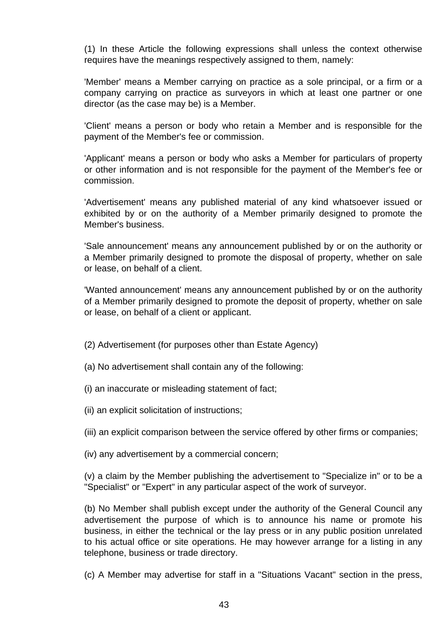(1) In these Article the following expressions shall unless the context otherwise requires have the meanings respectively assigned to them, namely:

'Member' means a Member carrying on practice as a sole principal, or a firm or a company carrying on practice as surveyors in which at least one partner or one director (as the case may be) is a Member.

'Client' means a person or body who retain a Member and is responsible for the payment of the Member's fee or commission.

'Applicant' means a person or body who asks a Member for particulars of property or other information and is not responsible for the payment of the Member's fee or commission.

'Advertisement' means any published material of any kind whatsoever issued or exhibited by or on the authority of a Member primarily designed to promote the Member's business.

'Sale announcement' means any announcement published by or on the authority or a Member primarily designed to promote the disposal of property, whether on sale or lease, on behalf of a client.

'Wanted announcement' means any announcement published by or on the authority of a Member primarily designed to promote the deposit of property, whether on sale or lease, on behalf of a client or applicant.

- (2) Advertisement (for purposes other than Estate Agency)
- (a) No advertisement shall contain any of the following:
- (i) an inaccurate or misleading statement of fact;
- (ii) an explicit solicitation of instructions;
- (iii) an explicit comparison between the service offered by other firms or companies;
- (iv) any advertisement by a commercial concern;

(v) a claim by the Member publishing the advertisement to "Specialize in" or to be a "Specialist" or "Expert" in any particular aspect of the work of surveyor.

(b) No Member shall publish except under the authority of the General Council any advertisement the purpose of which is to announce his name or promote his business, in either the technical or the lay press or in any public position unrelated to his actual office or site operations. He may however arrange for a listing in any telephone, business or trade directory.

(c) A Member may advertise for staff in a "Situations Vacant" section in the press,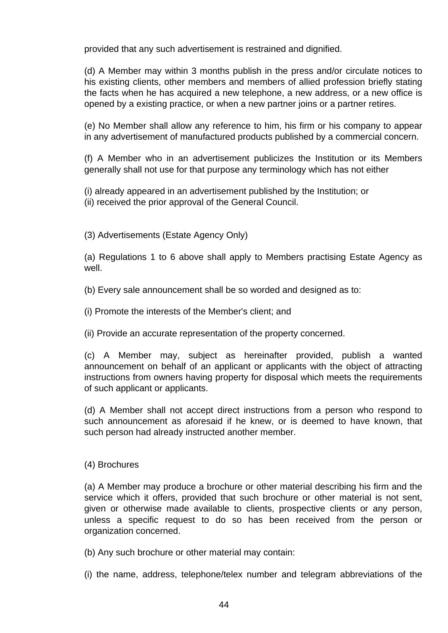provided that any such advertisement is restrained and dignified.

(d) A Member may within 3 months publish in the press and/or circulate notices to his existing clients, other members and members of allied profession briefly stating the facts when he has acquired a new telephone, a new address, or a new office is opened by a existing practice, or when a new partner joins or a partner retires.

(e) No Member shall allow any reference to him, his firm or his company to appear in any advertisement of manufactured products published by a commercial concern.

(f) A Member who in an advertisement publicizes the Institution or its Members generally shall not use for that purpose any terminology which has not either

(i) already appeared in an advertisement published by the Institution; or (ii) received the prior approval of the General Council.

(3) Advertisements (Estate Agency Only)

(a) Regulations 1 to 6 above shall apply to Members practising Estate Agency as well.

(b) Every sale announcement shall be so worded and designed as to:

(i) Promote the interests of the Member's client; and

(ii) Provide an accurate representation of the property concerned.

(c) A Member may, subject as hereinafter provided, publish a wanted announcement on behalf of an applicant or applicants with the object of attracting instructions from owners having property for disposal which meets the requirements of such applicant or applicants.

(d) A Member shall not accept direct instructions from a person who respond to such announcement as aforesaid if he knew, or is deemed to have known, that such person had already instructed another member.

#### (4) Brochures

(a) A Member may produce a brochure or other material describing his firm and the service which it offers, provided that such brochure or other material is not sent, given or otherwise made available to clients, prospective clients or any person, unless a specific request to do so has been received from the person or organization concerned.

(b) Any such brochure or other material may contain:

(i) the name, address, telephone/telex number and telegram abbreviations of the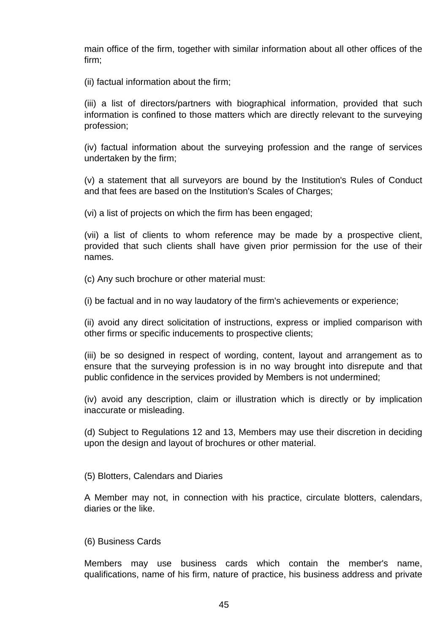main office of the firm, together with similar information about all other offices of the firm;

(ii) factual information about the firm;

(iii) a list of directors/partners with biographical information, provided that such information is confined to those matters which are directly relevant to the surveying profession;

(iv) factual information about the surveying profession and the range of services undertaken by the firm;

(v) a statement that all surveyors are bound by the Institution's Rules of Conduct and that fees are based on the Institution's Scales of Charges;

(vi) a list of projects on which the firm has been engaged;

(vii) a list of clients to whom reference may be made by a prospective client, provided that such clients shall have given prior permission for the use of their names.

(c) Any such brochure or other material must:

(i) be factual and in no way laudatory of the firm's achievements or experience;

(ii) avoid any direct solicitation of instructions, express or implied comparison with other firms or specific inducements to prospective clients;

(iii) be so designed in respect of wording, content, layout and arrangement as to ensure that the surveying profession is in no way brought into disrepute and that public confidence in the services provided by Members is not undermined;

(iv) avoid any description, claim or illustration which is directly or by implication inaccurate or misleading.

(d) Subject to Regulations 12 and 13, Members may use their discretion in deciding upon the design and layout of brochures or other material.

(5) Blotters, Calendars and Diaries

A Member may not, in connection with his practice, circulate blotters, calendars, diaries or the like.

#### (6) Business Cards

Members may use business cards which contain the member's name, qualifications, name of his firm, nature of practice, his business address and private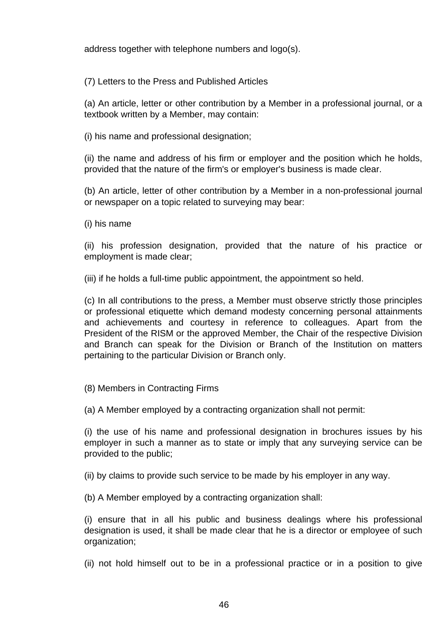address together with telephone numbers and logo(s).

(7) Letters to the Press and Published Articles

(a) An article, letter or other contribution by a Member in a professional journal, or a textbook written by a Member, may contain:

(i) his name and professional designation;

(ii) the name and address of his firm or employer and the position which he holds, provided that the nature of the firm's or employer's business is made clear.

(b) An article, letter of other contribution by a Member in a non-professional journal or newspaper on a topic related to surveying may bear:

(i) his name

(ii) his profession designation, provided that the nature of his practice or employment is made clear;

(iii) if he holds a full-time public appointment, the appointment so held.

(c) In all contributions to the press, a Member must observe strictly those principles or professional etiquette which demand modesty concerning personal attainments and achievements and courtesy in reference to colleagues. Apart from the President of the RISM or the approved Member, the Chair of the respective Division and Branch can speak for the Division or Branch of the Institution on matters pertaining to the particular Division or Branch only.

(8) Members in Contracting Firms

(a) A Member employed by a contracting organization shall not permit:

(i) the use of his name and professional designation in brochures issues by his employer in such a manner as to state or imply that any surveying service can be provided to the public;

(ii) by claims to provide such service to be made by his employer in any way.

(b) A Member employed by a contracting organization shall:

(i) ensure that in all his public and business dealings where his professional designation is used, it shall be made clear that he is a director or employee of such organization;

(ii) not hold himself out to be in a professional practice or in a position to give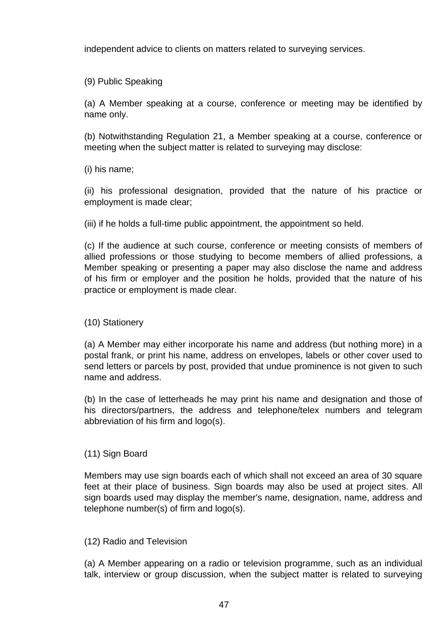independent advice to clients on matters related to surveying services.

(9) Public Speaking

(a) A Member speaking at a course, conference or meeting may be identified by name only.

(b) Notwithstanding Regulation 21, a Member speaking at a course, conference or meeting when the subject matter is related to surveying may disclose:

(i) his name;

(ii) his professional designation, provided that the nature of his practice or employment is made clear;

(iii) if he holds a full-time public appointment, the appointment so held.

(c) If the audience at such course, conference or meeting consists of members of allied professions or those studying to become members of allied professions, a Member speaking or presenting a paper may also disclose the name and address of his firm or employer and the position he holds, provided that the nature of his practice or employment is made clear.

(10) Stationery

(a) A Member may either incorporate his name and address (but nothing more) in a postal frank, or print his name, address on envelopes, labels or other cover used to send letters or parcels by post, provided that undue prominence is not given to such name and address.

(b) In the case of letterheads he may print his name and designation and those of his directors/partners, the address and telephone/telex numbers and telegram abbreviation of his firm and logo(s).

(11) Sign Board

Members may use sign boards each of which shall not exceed an area of 30 square feet at their place of business. Sign boards may also be used at project sites. All sign boards used may display the member's name, designation, name, address and telephone number(s) of firm and logo(s).

(12) Radio and Television

(a) A Member appearing on a radio or television programme, such as an individual talk, interview or group discussion, when the subject matter is related to surveying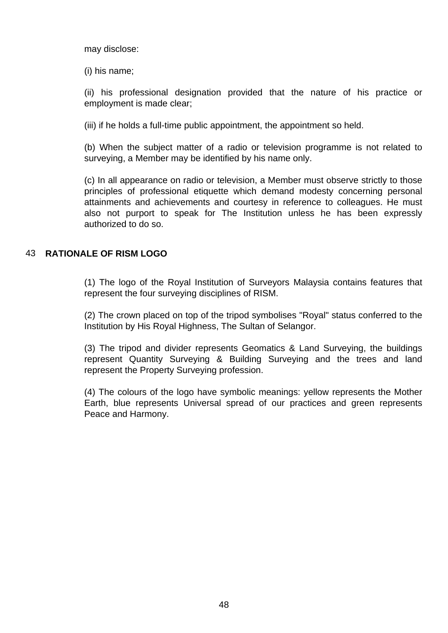may disclose:

(i) his name;

(ii) his professional designation provided that the nature of his practice or employment is made clear;

(iii) if he holds a full-time public appointment, the appointment so held.

(b) When the subject matter of a radio or television programme is not related to surveying, a Member may be identified by his name only.

(c) In all appearance on radio or television, a Member must observe strictly to those principles of professional etiquette which demand modesty concerning personal attainments and achievements and courtesy in reference to colleagues. He must also not purport to speak for The Institution unless he has been expressly authorized to do so.

#### 43 **RATIONALE OF RISM LOGO**

(1) The logo of the Royal Institution of Surveyors Malaysia contains features that represent the four surveying disciplines of RISM.

(2) The crown placed on top of the tripod symbolises "Royal" status conferred to the Institution by His Royal Highness, The Sultan of Selangor.

(3) The tripod and divider represents Geomatics & Land Surveying, the buildings represent Quantity Surveying & Building Surveying and the trees and land represent the Property Surveying profession.

(4) The colours of the logo have symbolic meanings: yellow represents the Mother Earth, blue represents Universal spread of our practices and green represents Peace and Harmony.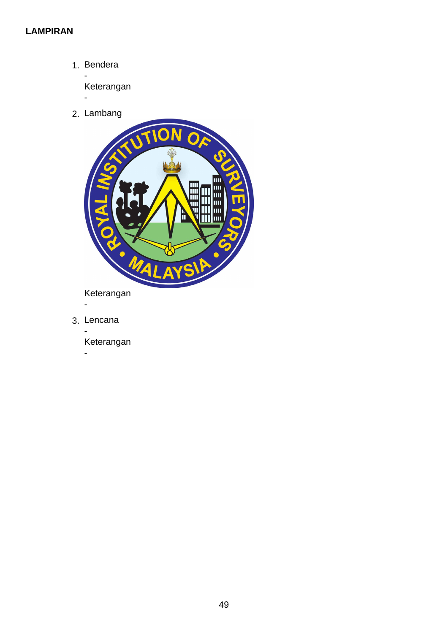#### **LAMPIRAN**

1. Bendera

- Keterangan

2. Lambang

-



3. Lencana

-

-

Keterangan